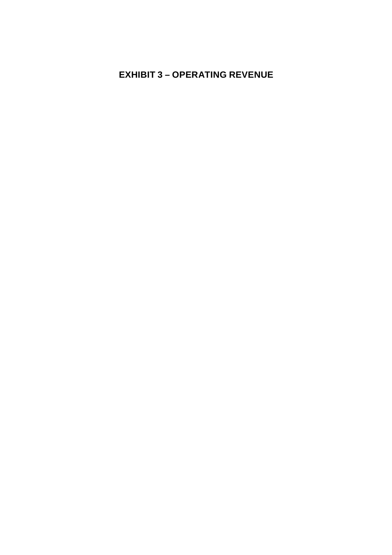# **EXHIBIT 3 – OPERATING REVENUE**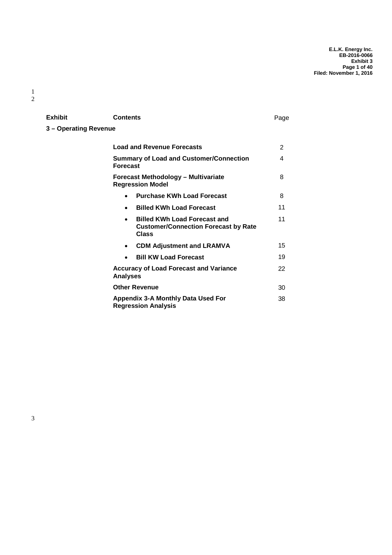| Exhibit               | <b>Contents</b>                                                                                          | Page |
|-----------------------|----------------------------------------------------------------------------------------------------------|------|
| 3 - Operating Revenue |                                                                                                          |      |
|                       | <b>Load and Revenue Forecasts</b>                                                                        | 2    |
|                       | <b>Summary of Load and Customer/Connection</b><br><b>Forecast</b>                                        | 4    |
|                       | <b>Forecast Methodology - Multivariate</b><br><b>Regression Model</b>                                    | 8    |
|                       | <b>Purchase KWh Load Forecast</b><br>$\bullet$                                                           | 8    |
|                       | <b>Billed KWh Load Forecast</b><br>$\bullet$                                                             | 11   |
|                       | <b>Billed KWh Load Forecast and</b><br>$\bullet$<br><b>Customer/Connection Forecast by Rate</b><br>Class | 11   |
|                       | <b>CDM Adjustment and LRAMVA</b><br>$\bullet$                                                            | 15   |
|                       | <b>Bill KW Load Forecast</b><br>$\bullet$                                                                | 19   |
|                       | <b>Accuracy of Load Forecast and Variance</b><br><b>Analyses</b>                                         | 22   |
|                       | <b>Other Revenue</b>                                                                                     | 30   |
|                       | Appendix 3-A Monthly Data Used For<br><b>Regression Analysis</b>                                         | 38   |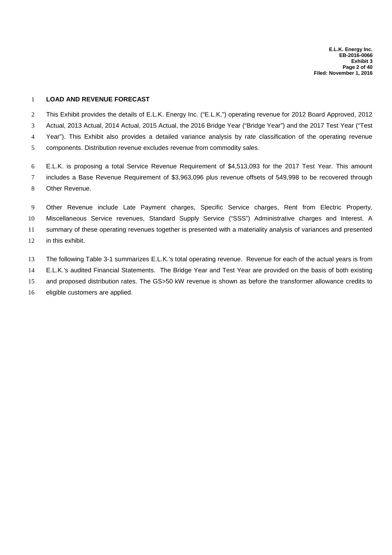#### **LOAD AND REVENUE FORECAST**

 This Exhibit provides the details of E.L.K. Energy Inc. ("E.L.K.") operating revenue for 2012 Board Approved, 2012 Actual, 2013 Actual, 2014 Actual, 2015 Actual, the 2016 Bridge Year ("Bridge Year") and the 2017 Test Year ("Test Year"). This Exhibit also provides a detailed variance analysis by rate classification of the operating revenue components. Distribution revenue excludes revenue from commodity sales.

 E.L.K. is proposing a total Service Revenue Requirement of \$4,513,093 for the 2017 Test Year. This amount includes a Base Revenue Requirement of \$3,963,096 plus revenue offsets of 549,998 to be recovered through Other Revenue.

 Other Revenue include Late Payment charges, Specific Service charges, Rent from Electric Property, Miscellaneous Service revenues, Standard Supply Service ("SSS") Administrative charges and Interest. A summary of these operating revenues together is presented with a materiality analysis of variances and presented in this exhibit.

 The following Table 3-1 summarizes E.L.K.'s total operating revenue. Revenue for each of the actual years is from E.L.K.'s audited Financial Statements. The Bridge Year and Test Year are provided on the basis of both existing and proposed distribution rates. The GS>50 kW revenue is shown as before the transformer allowance credits to eligible customers are applied.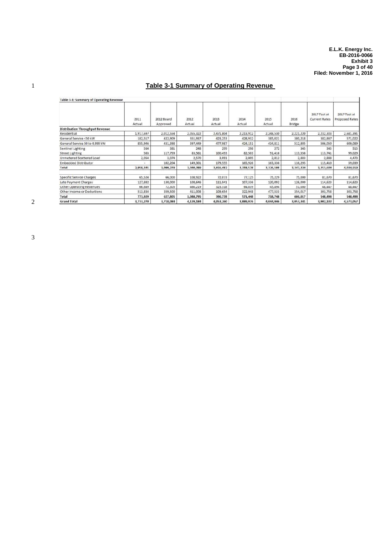## 1 **Table 3-1 Summary of Operating Revenue**

| Table 3-1: Summary of Operating Revenue |                |                        |                |                |                |                |                |                                      |                                       |
|-----------------------------------------|----------------|------------------------|----------------|----------------|----------------|----------------|----------------|--------------------------------------|---------------------------------------|
|                                         | 2011<br>Actual | 2012 Board<br>Approved | 2012<br>Actual | 2013<br>Actual | 2014<br>Actual | 2015<br>Actual | 2016<br>Bridge | 2017 Test at<br><b>Current Rates</b> | 2017 Test at<br><b>Proposed Rates</b> |
| <b>Distribution Throughput Revenue</b>  |                |                        |                |                |                |                |                |                                      |                                       |
| Residential                             | 1,917,697      | 2,012,554              | 2,055,322      | 2,471,804      | 2,213,912      | 2,248,530      | 2,221,220      | 2,232,303                            | 2,681,391                             |
| General Service <50 kW                  | 182,517        | 422,909                | 351,937        | 423,253        | 428,932        | 385,021        | 380,218        | 382,867                              | 571,022                               |
| General Service 50 to 4,999 kW          | 855,946        | 431,398                | 397,449        | 477,987        | 424,151        | 434,811        | 512,805        | 506,050                              | 609,089                               |
| Sentinel Lighting                       | 564            | 381                    | 248            | 299            | 298            | 272            | 345            | 345                                  | 515                                   |
| <b>Street Lighting</b>                  | 563            | 117,759                | 83,561         | 100,493        | 82,503         | 91,416         | 113,558        | 113,741                              | 99,029                                |
| Unmetered Scattered Load                | 2,054          | 3,074                  | 2,570          | 3,091          | 2,805          | 2,812          | 2,883          | 2,888                                | 4,473                                 |
| <b>Embedded Distributor</b>             |                | 102,204                | 149,301        | 179,555        | 165,926        | 163,336        | 116,295        | 115,410                              | 59,039                                |
| Total                                   | 2,959,341      | 3,090,279              | 3,040,389      | 3,656,482      | 3,318,528      | 3,326,198      | 3,347,324      | 3,353,604                            | 4,024,559                             |
| Specific Service Charges                | 65,524         | 66,000                 | 108,922        | 72,073         | 77,125         | 75,229         | 75,000         | 81,670                               | 81,670                                |
| Late Payment Charges                    | 127,882        | 130,000                | 108,646        | 111,041        | 107,336        | 120,092        | 126,000        | 114,623                              | 114,623                               |
| Other Operating Revenues                | 66,689         | 72,305                 | 460,219        | 323,318        | 64,039         | 45,894         | 51,000         | 48,447                               | 48,447                                |
| Other Income or Deductions              | 513,834        | 359,500                | 411,008        | 109,654        | 322,948        | 477,533        | 354,017        | 303,758                              | 303,758                               |
| Total                                   | 773,929        | 627,805                | 1,088,795      | 396,778        | 571,448        | 718,748        | 606,017        | 548,498                              | 548,498                               |
| <b>Grand Total</b>                      | 3,733,270      | 3,718,084              | 4,129,184      | 4,053,260      | 3,889,976      | 4,044,946      | 3,953,341      | 3,902,102                            | 4,573,057                             |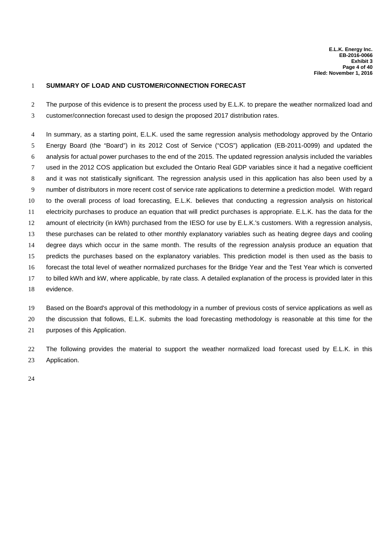#### **SUMMARY OF LOAD AND CUSTOMER/CONNECTION FORECAST**

2 The purpose of this evidence is to present the process used by E.L.K. to prepare the weather normalized load and customer/connection forecast used to design the proposed 2017 distribution rates.

 In summary, as a starting point, E.L.K. used the same regression analysis methodology approved by the Ontario Energy Board (the "Board") in its 2012 Cost of Service ("COS") application (EB-2011-0099) and updated the analysis for actual power purchases to the end of the 2015. The updated regression analysis included the variables used in the 2012 COS application but excluded the Ontario Real GDP variables since it had a negative coefficient and it was not statistically significant. The regression analysis used in this application has also been used by a number of distributors in more recent cost of service rate applications to determine a prediction model. With regard to the overall process of load forecasting, E.L.K. believes that conducting a regression analysis on historical electricity purchases to produce an equation that will predict purchases is appropriate. E.L.K. has the data for the amount of electricity (in kWh) purchased from the IESO for use by E.L.K.'s customers. With a regression analysis, these purchases can be related to other monthly explanatory variables such as heating degree days and cooling degree days which occur in the same month. The results of the regression analysis produce an equation that predicts the purchases based on the explanatory variables. This prediction model is then used as the basis to forecast the total level of weather normalized purchases for the Bridge Year and the Test Year which is converted to billed kWh and kW, where applicable, by rate class. A detailed explanation of the process is provided later in this evidence.

 Based on the Board's approval of this methodology in a number of previous costs of service applications as well as the discussion that follows, E.L.K. submits the load forecasting methodology is reasonable at this time for the purposes of this Application.

 The following provides the material to support the weather normalized load forecast used by E.L.K. in this Application.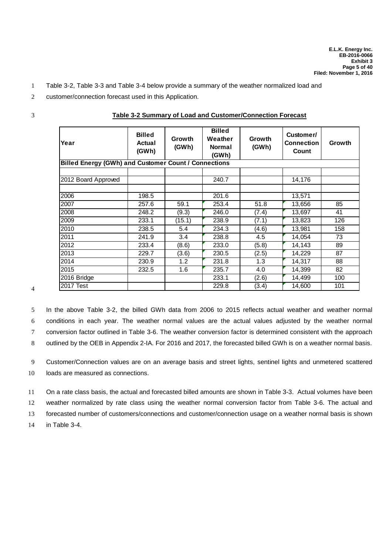- 1 Table 3-2, Table 3-3 and Table 3-4 below provide a summary of the weather normalized load and
- 2 customer/connection forecast used in this Application.

| I<br>٧<br>٠ |
|-------------|
|             |
| I<br>I      |
| ×<br>v      |

| Year                                                        | <b>Billed</b><br>Actual<br>(GWh) | Growth<br>(GWh) | <b>Billed</b><br>Weather<br><b>Normal</b><br>(GWh) | Growth<br>(GWh) | Customer/<br><b>Connection</b><br>Count | Growth |
|-------------------------------------------------------------|----------------------------------|-----------------|----------------------------------------------------|-----------------|-----------------------------------------|--------|
| <b>Billed Energy (GWh) and Customer Count / Connections</b> |                                  |                 |                                                    |                 |                                         |        |
| 2012 Board Approved                                         |                                  |                 | 240.7                                              |                 | 14,176                                  |        |
| 2006                                                        | 198.5                            |                 | 201.6                                              |                 | 13,571                                  |        |
| 2007                                                        | 257.6                            | 59.1            | 253.4                                              | 51.8            | 13,656                                  | 85     |
| 2008                                                        | 248.2                            | (9.3)           | 246.0                                              | (7.4)           | 13,697                                  | 41     |
| 2009                                                        | 233.1                            | (15.1)          | 238.9                                              | (7.1)           | 13,823                                  | 126    |
| 2010                                                        | 238.5                            | 5.4             | 234.3                                              | (4.6)           | 13,981                                  | 158    |
| 2011                                                        | 241.9                            | 3.4             | 238.8                                              | 4.5             | 14,054                                  | 73     |
| 2012                                                        | 233.4                            | (8.6)           | 233.0                                              | (5.8)           | 14,143                                  | 89     |
| 2013                                                        | 229.7                            | (3.6)           | 230.5                                              | (2.5)           | 14,229                                  | 87     |
| 2014                                                        | 230.9                            | 1.2             | 231.8                                              | 1.3             | 14,317                                  | 88     |
| 2015                                                        | 232.5                            | 1.6             | 235.7                                              | 4.0             | 14,399                                  | 82     |
| 2016 Bridge                                                 |                                  |                 | 233.1                                              | (2.6)           | 14,499                                  | 100    |
| 2017 Test                                                   |                                  |                 | 229.8                                              | (3.4)           | 14,600                                  | 101    |

#### 3 **Table 3-2 Summary of Load and Customer/Connection Forecast**

4

 In the above Table 3-2, the billed GWh data from 2006 to 2015 reflects actual weather and weather normal conditions in each year. The weather normal values are the actual values adjusted by the weather normal conversion factor outlined in Table 3-6. The weather conversion factor is determined consistent with the approach outlined by the OEB in Appendix 2-IA. For 2016 and 2017, the forecasted billed GWh is on a weather normal basis.

9 Customer/Connection values are on an average basis and street lights, sentinel lights and unmetered scattered 10 loads are measured as connections.

11 On a rate class basis, the actual and forecasted billed amounts are shown in Table 3-3. Actual volumes have been 12 weather normalized by rate class using the weather normal conversion factor from Table 3-6. The actual and

13 forecasted number of customers/connections and customer/connection usage on a weather normal basis is shown

14 in Table 3-4.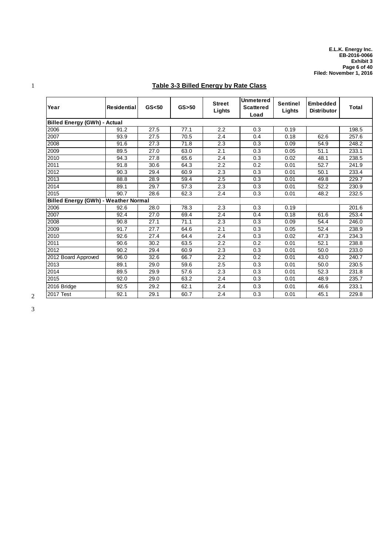## 1 **Table 3-3 Billed Energy by Rate Class**

| Year                                        | <b>Residential</b> | GS <sub>50</sub> | $GS$ > 50 | <b>Street</b><br>Lights | <b>Unmetered</b><br><b>Scattered</b><br>Load | <b>Sentinel</b><br>Lights | <b>Embedded</b><br><b>Distributor</b> | Total |
|---------------------------------------------|--------------------|------------------|-----------|-------------------------|----------------------------------------------|---------------------------|---------------------------------------|-------|
| <b>Billed Energy (GWh) - Actual</b>         |                    |                  |           |                         |                                              |                           |                                       |       |
| 2006                                        | 91.2               | 27.5             | 77.1      | 2.2                     | 0.3                                          | 0.19                      |                                       | 198.5 |
| 2007                                        | 93.9               | 27.5             | 70.5      | 2.4                     | 0.4                                          | 0.18                      | 62.6                                  | 257.6 |
| 2008                                        | 91.6               | 27.3             | 71.8      | 2.3                     | 0.3                                          | 0.09                      | 54.9                                  | 248.2 |
| 2009                                        | 89.5               | 27.0             | 63.0      | 2.1                     | 0.3                                          | 0.05                      | 51.1                                  | 233.1 |
| 2010                                        | 94.3               | 27.8             | 65.6      | 2.4                     | 0.3                                          | 0.02                      | 48.1                                  | 238.5 |
| 2011                                        | 91.8               | 30.6             | 64.3      | 2.2                     | 0.2                                          | 0.01                      | 52.7                                  | 241.9 |
| 2012                                        | 90.3               | 29.4             | 60.9      | 2.3                     | 0.3                                          | 0.01                      | 50.1                                  | 233.4 |
| 2013                                        | 88.8               | 28.9             | 59.4      | 2.5                     | 0.3                                          | 0.01                      | 49.8                                  | 229.7 |
| 2014                                        | 89.1               | 29.7             | 57.3      | 2.3                     | 0.3                                          | 0.01                      | 52.2                                  | 230.9 |
| 2015                                        | 90.7               | 28.6             | 62.3      | 2.4                     | 0.3                                          | 0.01                      | 48.2                                  | 232.5 |
| <b>Billed Energy (GWh) - Weather Normal</b> |                    |                  |           |                         |                                              |                           |                                       |       |
| 2006                                        | 92.6               | 28.0             | 78.3      | 2.3                     | 0.3                                          | 0.19                      |                                       | 201.6 |
| 2007                                        | 92.4               | 27.0             | 69.4      | 2.4                     | 0.4                                          | 0.18                      | 61.6                                  | 253.4 |
| 2008                                        | 90.8               | 27.1             | 71.1      | 2.3                     | 0.3                                          | 0.09                      | 54.4                                  | 246.0 |
| 2009                                        | 91.7               | 27.7             | 64.6      | 2.1                     | 0.3                                          | 0.05                      | 52.4                                  | 238.9 |
| 2010                                        | 92.6               | 27.4             | 64.4      | 2.4                     | 0.3                                          | 0.02                      | 47.3                                  | 234.3 |
| 2011                                        | 90.6               | 30.2             | 63.5      | 2.2                     | 0.2                                          | 0.01                      | 52.1                                  | 238.8 |
| 2012                                        | 90.2               | 29.4             | 60.9      | 2.3                     | 0.3                                          | 0.01                      | 50.0                                  | 233.0 |
| 2012 Board Approved                         | 96.0               | 32.6             | 66.7      | 2.2                     | 0.2                                          | 0.01                      | 43.0                                  | 240.7 |
| 2013                                        | 89.1               | 29.0             | 59.6      | 2.5                     | 0.3                                          | 0.01                      | 50.0                                  | 230.5 |
| 2014                                        | 89.5               | 29.9             | 57.6      | 2.3                     | 0.3                                          | 0.01                      | 52.3                                  | 231.8 |
| 2015                                        | 92.0               | 29.0             | 63.2      | 2.4                     | 0.3                                          | 0.01                      | 48.9                                  | 235.7 |
| 2016 Bridge                                 | 92.5               | 29.2             | 62.1      | 2.4                     | 0.3                                          | 0.01                      | 46.6                                  | 233.1 |
| <b>2017 Test</b>                            | 92.1               | 29.1             | 60.7      | 2.4                     | 0.3                                          | 0.01                      | 45.1                                  | 229.8 |

2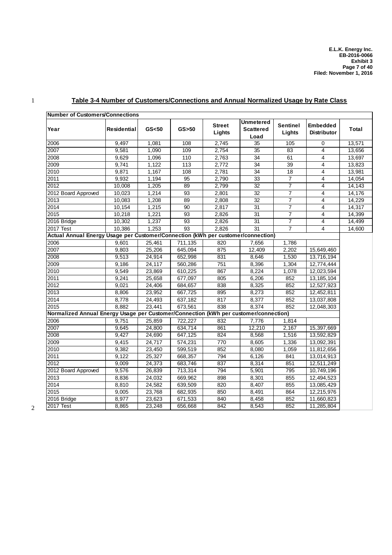| Number of Customers/Connections                                                      |             |         |           |                         |                                              |                           |                                       |        |
|--------------------------------------------------------------------------------------|-------------|---------|-----------|-------------------------|----------------------------------------------|---------------------------|---------------------------------------|--------|
| Year                                                                                 | Residential | GS < 50 | $GS$ > 50 | <b>Street</b><br>Lights | <b>Unmetered</b><br><b>Scattered</b><br>Load | <b>Sentinel</b><br>Lights | <b>Embedded</b><br><b>Distributor</b> | Total  |
| 2006                                                                                 | 9,497       | 1,081   | 108       | 2,745                   | 35                                           | 105                       | 0                                     | 13,571 |
| 2007                                                                                 | 9,581       | 1,090   | 109       | 2,754                   | 35                                           | 83                        | 4                                     | 13,656 |
| 2008                                                                                 | 9,629       | 1,096   | 110       | 2,763                   | 34                                           | 61                        | 4                                     | 13,697 |
| 2009                                                                                 | 9,741       | 1,122   | 113       | 2,772                   | 34                                           | 39                        | 4                                     | 13,823 |
| 2010                                                                                 | 9,871       | 1,167   | 108       | 2,781                   | 34                                           | 18                        | 4                                     | 13,981 |
| 2011                                                                                 | 9,932       | 1,194   | 95        | 2,790                   | 33                                           | $\overline{7}$            | 4                                     | 14,054 |
| 2012                                                                                 | 10,008      | 1,205   | 89        | 2,799                   | 32                                           | $\overline{7}$            | 4                                     | 14,143 |
| 2012 Board Approved                                                                  | 10,023      | 1,214   | 93        | 2,801                   | 32                                           | 7                         | 4                                     | 14,176 |
| 2013                                                                                 | 10,083      | 1,208   | 89        | 2,808                   | 32                                           | $\overline{7}$            | 4                                     | 14,229 |
| 2014                                                                                 | 10,154      | 1,215   | 90        | 2.817                   | 31                                           | $\overline{7}$            | 4                                     | 14,317 |
| 2015                                                                                 | 10,218      | 1,221   | 93        | 2,826                   | 31                                           | $\overline{7}$            | 4                                     | 14,399 |
| 2016 Bridge                                                                          | 10,302      | 1,237   | 93        | 2,826                   | 31                                           | 7                         | 4                                     | 14,499 |
| 2017 Test                                                                            | 10,386      | 1,253   | 93        | 2,826                   | 31                                           | $\overline{7}$            | 4                                     | 14,600 |
| Actual Annual Energy Usage per Customer/Connection (kWh per customer/connection)     |             |         |           |                         |                                              |                           |                                       |        |
| 2006                                                                                 | 9,601       | 25,461  | 711,135   | 820                     | 7.656                                        | 1,786                     |                                       |        |
| $\frac{1}{2007}$                                                                     | 9,803       | 25,206  | 645,094   | 875                     | 12,409                                       | 2,202                     | 15,649,460                            |        |
| 2008                                                                                 | 9,513       | 24,914  | 652,998   | 831                     | 8,646                                        | 1,530                     | 13,716,194                            |        |
| 2009                                                                                 | 9,186       | 24,117  | 560,286   | 751                     | 8,396                                        | 1,304                     | 12,774,444                            |        |
| 2010                                                                                 | 9,549       | 23,869  | 610,225   | 867                     | 8,224                                        | 1,078                     | 12,023,594                            |        |
| 2011                                                                                 | 9,241       | 25,658  | 677,097   | 805                     | 6,206                                        | 852                       | 13, 185, 104                          |        |
| 2012                                                                                 | 9,021       | 24,406  | 684,657   | 838                     | 8,325                                        | 852                       | 12,527,923                            |        |
| 2013                                                                                 | 8,806       | 23,952  | 667,725   | 895                     | 8,273                                        | 852                       | 12,452,811                            |        |
| 2014                                                                                 | 8,778       | 24,493  | 637,182   | 817                     | 8,377                                        | 852                       | 13,037,808                            |        |
| 2015                                                                                 | 8.882       | 23,441  | 673,561   | 838                     | 8,374                                        | 852                       | 12,048,303                            |        |
| Normalized Annual Energy Usage per Customer/Connection (kWh per customer/connection) |             |         |           |                         |                                              |                           |                                       |        |
| 2006                                                                                 | 9,751       | 25,859  | 722,227   | 832                     | 7,776                                        | 1,814                     |                                       |        |
| 2007                                                                                 | 9,645       | 24,800  | 634,714   | 861                     | 12,210                                       | 2,167                     | 15,397,669                            |        |
| 2008                                                                                 | 9,427       | 24,690  | 647,125   | 824                     | 8,568                                        | 1,516                     | 13,592,829                            |        |
| 2009                                                                                 | 9,415       | 24,717  | 574,231   | 770                     | 8,605                                        | 1,336                     | 13,092,391                            |        |
| 2010                                                                                 | 9,382       | 23,450  | 599,519   | 852                     | 8,080                                        | 1,059                     | 11,812,656                            |        |
| 2011                                                                                 | 9,122       | 25,327  | 668,357   | 794                     | 6,126                                        | 841                       | 13,014,913                            |        |
| 2012                                                                                 | 9,009       | 24,373  | 683,746   | 837                     | 8,314                                        | 851                       | 12,511,249                            |        |
| 2012 Board Approved                                                                  | 9,576       | 26,839  | 713,314   | 794                     | 5,901                                        | 795                       | 10,749,196                            |        |
| 2013                                                                                 | 8,836       | 24,032  | 669,962   | 898                     | 8,301                                        | 855                       | 12,494,523                            |        |
| 2014                                                                                 | 8,810       | 24,582  | 639,509   | 820                     | 8,407                                        | 855                       | 13,085,429                            |        |
| 2015                                                                                 | 9,005       | 23,768  | 682,935   | 850                     | 8,491                                        | 864                       | 12,215,976                            |        |
| 2016 Bridge                                                                          | 8,977       | 23,623  | 671,533   | 840                     | 8,458                                        | 852                       | 11,660,823                            |        |
| 2017 Test                                                                            | 8,865       | 23,248  | 656,668   | 842                     | 8,543                                        | 852                       | 11,285,804                            |        |

## 1 **Table 3-4 Number of Customers/Connections and Annual Normalized Usage by Rate Class**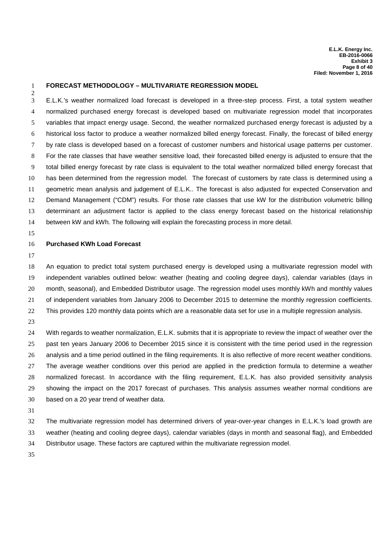#### **FORECAST METHODOLOGY – MULTIVARIATE REGRESSION MODEL**

 E.L.K.'s weather normalized load forecast is developed in a three-step process. First, a total system weather normalized purchased energy forecast is developed based on multivariate regression model that incorporates variables that impact energy usage. Second, the weather normalized purchased energy forecast is adjusted by a historical loss factor to produce a weather normalized billed energy forecast. Finally, the forecast of billed energy by rate class is developed based on a forecast of customer numbers and historical usage patterns per customer. For the rate classes that have weather sensitive load, their forecasted billed energy is adjusted to ensure that the total billed energy forecast by rate class is equivalent to the total weather normalized billed energy forecast that has been determined from the regression model. The forecast of customers by rate class is determined using a geometric mean analysis and judgement of E.L.K.. The forecast is also adjusted for expected Conservation and Demand Management ("CDM") results. For those rate classes that use kW for the distribution volumetric billing determinant an adjustment factor is applied to the class energy forecast based on the historical relationship between kW and kWh. The following will explain the forecasting process in more detail.

#### **Purchased KWh Load Forecast**

 An equation to predict total system purchased energy is developed using a multivariate regression model with independent variables outlined below: weather (heating and cooling degree days), calendar variables (days in month, seasonal), and Embedded Distributor usage. The regression model uses monthly kWh and monthly values of independent variables from January 2006 to December 2015 to determine the monthly regression coefficients. This provides 120 monthly data points which are a reasonable data set for use in a multiple regression analysis.

 With regards to weather normalization, E.L.K. submits that it is appropriate to review the impact of weather over the past ten years January 2006 to December 2015 since it is consistent with the time period used in the regression analysis and a time period outlined in the filing requirements. It is also reflective of more recent weather conditions. The average weather conditions over this period are applied in the prediction formula to determine a weather normalized forecast. In accordance with the filing requirement, E.L.K. has also provided sensitivity analysis showing the impact on the 2017 forecast of purchases. This analysis assumes weather normal conditions are based on a 20 year trend of weather data.

 The multivariate regression model has determined drivers of year-over-year changes in E.L.K.'s load growth are weather (heating and cooling degree days), calendar variables (days in month and seasonal flag), and Embedded Distributor usage. These factors are captured within the multivariate regression model.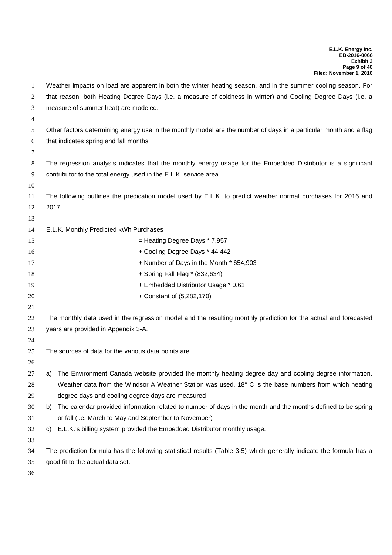| 1        | Weather impacts on load are apparent in both the winter heating season, and in the summer cooling season. For       |
|----------|---------------------------------------------------------------------------------------------------------------------|
| 2        | that reason, both Heating Degree Days (i.e. a measure of coldness in winter) and Cooling Degree Days (i.e. a        |
| 3        | measure of summer heat) are modeled.                                                                                |
| 4        |                                                                                                                     |
| 5        | Other factors determining energy use in the monthly model are the number of days in a particular month and a flag   |
| 6        | that indicates spring and fall months                                                                               |
| 7        |                                                                                                                     |
| 8        | The regression analysis indicates that the monthly energy usage for the Embedded Distributor is a significant       |
| 9        | contributor to the total energy used in the E.L.K. service area.                                                    |
| 10       |                                                                                                                     |
| 11       | The following outlines the predication model used by E.L.K. to predict weather normal purchases for 2016 and        |
| 12       | 2017.                                                                                                               |
| 13       |                                                                                                                     |
| 14       | E.L.K. Monthly Predicted kWh Purchases                                                                              |
| 15       | = Heating Degree Days * 7,957                                                                                       |
| 16       | + Cooling Degree Days * 44,442                                                                                      |
| 17       | + Number of Days in the Month * 654,903                                                                             |
| 18       | + Spring Fall Flag * (832,634)                                                                                      |
| 19       | + Embedded Distributor Usage * 0.61                                                                                 |
| 20<br>21 | + Constant of (5,282,170)                                                                                           |
| 22       | The monthly data used in the regression model and the resulting monthly prediction for the actual and forecasted    |
| 23       | years are provided in Appendix 3-A.                                                                                 |
| 24       |                                                                                                                     |
| 25       | The sources of data for the various data points are:                                                                |
| 26       |                                                                                                                     |
| 27       | a) The Environment Canada website provided the monthly heating degree day and cooling degree information.           |
| 28       | Weather data from the Windsor A Weather Station was used. 18° C is the base numbers from which heating              |
| 29       | degree days and cooling degree days are measured                                                                    |
| 30       | The calendar provided information related to number of days in the month and the months defined to be spring<br>b)  |
| 31       | or fall (i.e. March to May and September to November)                                                               |
| 32       | E.L.K.'s billing system provided the Embedded Distributor monthly usage.<br>C)                                      |
| 33       |                                                                                                                     |
| 34       | The prediction formula has the following statistical results (Table 3-5) which generally indicate the formula has a |
| 35       | good fit to the actual data set.                                                                                    |
| 36       |                                                                                                                     |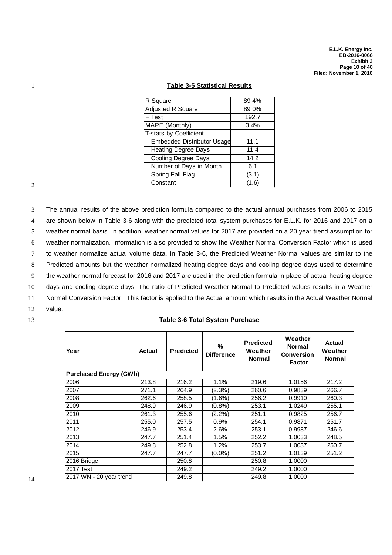#### 1 **Table 3-5 Statistical Results**

| R Square                          | 89.4% |
|-----------------------------------|-------|
| Adjusted R Square                 | 89.0% |
| F Test                            | 192.7 |
| MAPE (Monthly)                    | 3.4%  |
| <b>T-stats by Coefficient</b>     |       |
| <b>Embedded Distributor Usage</b> | 11.1  |
| <b>Heating Degree Days</b>        | 11.4  |
| Cooling Degree Days               | 14.2  |
| Number of Days in Month           | 6.1   |
| <b>Spring Fall Flag</b>           | (3.1) |
| Constant                          | (1.6) |

2

 The annual results of the above prediction formula compared to the actual annual purchases from 2006 to 2015 are shown below in Table 3-6 along with the predicted total system purchases for E.L.K. for 2016 and 2017 on a weather normal basis. In addition, weather normal values for 2017 are provided on a 20 year trend assumption for weather normalization. Information is also provided to show the Weather Normal Conversion Factor which is used to weather normalize actual volume data. In Table 3-6, the Predicted Weather Normal values are similar to the Predicted amounts but the weather normalized heating degree days and cooling degree days used to determine the weather normal forecast for 2016 and 2017 are used in the prediction formula in place of actual heating degree days and cooling degree days. The ratio of Predicted Weather Normal to Predicted values results in a Weather Normal Conversion Factor. This factor is applied to the Actual amount which results in the Actual Weather Normal 12 value.

#### 13 **Table 3-6 Total System Purchase**

| Year                          | Actual | <b>Predicted</b> | %<br><b>Difference</b> | <b>Predicted</b><br>Weather<br><b>Normal</b> | Weather<br><b>Normal</b><br><b>Conversion</b><br><b>Factor</b> | Actual<br>Weather<br><b>Normal</b> |
|-------------------------------|--------|------------------|------------------------|----------------------------------------------|----------------------------------------------------------------|------------------------------------|
| <b>Purchased Energy (GWh)</b> |        |                  |                        |                                              |                                                                |                                    |
| 2006                          | 213.8  | 216.2            | 1.1%                   | 219.6                                        | 1.0156                                                         | 217.2                              |
| 2007                          | 271.1  | 264.9            | (2.3%)                 | 260.6                                        | 0.9839                                                         | 266.7                              |
| 2008                          | 262.6  | 258.5            | $(1.6\%)$              | 256.2                                        | 0.9910                                                         | 260.3                              |
| 2009                          | 248.9  | 246.9            | $(0.8\%)$              | 253.1                                        | 1.0249                                                         | 255.1                              |
| 2010                          | 261.3  | 255.6            | $(2.2\%)$              | 251.1                                        | 0.9825                                                         | 256.7                              |
| 2011                          | 255.0  | 257.5            | 0.9%                   | 254.1                                        | 0.9871                                                         | 251.7                              |
| 2012                          | 246.9  | 253.4            | 2.6%                   | 253.1                                        | 0.9987                                                         | 246.6                              |
| 2013                          | 247.7  | 251.4            | 1.5%                   | 252.2                                        | 1.0033                                                         | 248.5                              |
| 2014                          | 249.8  | 252.8            | 1.2%                   | 253.7                                        | 1.0037                                                         | 250.7                              |
| 2015                          | 247.7  | 247.7            | $(0.0\%)$              | 251.2                                        | 1.0139                                                         | 251.2                              |
| 2016 Bridge                   |        | 250.8            |                        | 250.8                                        | 1.0000                                                         |                                    |
| <b>2017 Test</b>              |        | 249.2            |                        | 249.2                                        | 1.0000                                                         |                                    |
| 2017 WN - 20 year trend       |        | 249.8            |                        | 249.8                                        | 1.0000                                                         |                                    |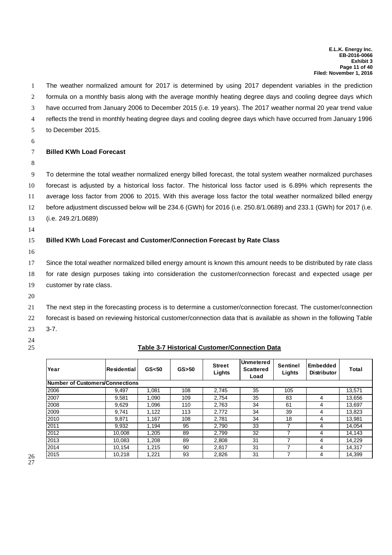The weather normalized amount for 2017 is determined by using 2017 dependent variables in the prediction formula on a monthly basis along with the average monthly heating degree days and cooling degree days which have occurred from January 2006 to December 2015 (i.e. 19 years). The 2017 weather normal 20 year trend value reflects the trend in monthly heating degree days and cooling degree days which have occurred from January 1996 to December 2015. 6 **Billed KWh Load Forecast** 8 To determine the total weather normalized energy billed forecast, the total system weather normalized purchases forecast is adjusted by a historical loss factor. The historical loss factor used is 6.89% which represents the average loss factor from 2006 to 2015. With this average loss factor the total weather normalized billed energy before adjustment discussed below will be 234.6 (GWh) for 2016 (i.e. 250.8/1.0689) and 233.1 (GWh) for 2017 (i.e. (i.e. 249.2/1.0689) 14 **Billed KWh Load Forecast and Customer/Connection Forecast by Rate Class** 16 Since the total weather normalized billed energy amount is known this amount needs to be distributed by rate class for rate design purposes taking into consideration the customer/connection forecast and expected usage per customer by rate class. 20 The next step in the forecasting process is to determine a customer/connection forecast. The customer/connection forecast is based on reviewing historical customer/connection data that is available as shown in the following Table 23 3-7. 24 **Table 3-7 Historical Customer/Connection Data**

| Year                            | lResidential | GS <sub>50</sub> | $GS$ > 50 | <b>Street</b><br>Lights | Unmetered<br><b>Scattered</b><br>Load | <b>Sentinel</b><br>Lights | Embedded<br><b>Distributor</b> | Total  |
|---------------------------------|--------------|------------------|-----------|-------------------------|---------------------------------------|---------------------------|--------------------------------|--------|
| Number of Customers/Connections |              |                  |           |                         |                                       |                           |                                |        |
| 2006                            | 9.497        | 1.081            | 108       | 2,745                   | 35                                    | 105                       |                                | 13,571 |
| 2007                            | 9.581        | 1.090            | 109       | 2.754                   | 35                                    | 83                        | 4                              | 13,656 |
| 2008                            | 9,629        | 1.096            | 110       | 2.763                   | 34                                    | 61                        | 4                              | 13,697 |
| 2009                            | 9.741        | 1,122            | 113       | 2,772                   | 34                                    | 39                        | 4                              | 13,823 |
| 2010                            | 9.871        | 1.167            | 108       | 2.781                   | 34                                    | 18                        | 4                              | 13,981 |
| 2011                            | 9,932        | 1.194            | 95        | 2.790                   | 33                                    | ⇁                         | 4                              | 14.054 |
| 2012                            | 10.008       | 1.205            | 89        | 2.799                   | 32                                    | 7                         | 4                              | 14,143 |
| 2013                            | 10.083       | 1,208            | 89        | 2,808                   | 31                                    | ⇁                         | 4                              | 14,229 |
| 2014                            | 10.154       | 1.215            | 90        | 2.817                   | 31                                    |                           | 4                              | 14.317 |
| 2015                            | 10,218       | 1,221            | 93        | 2,826                   | 31                                    | ⇁                         | 4                              | 14,399 |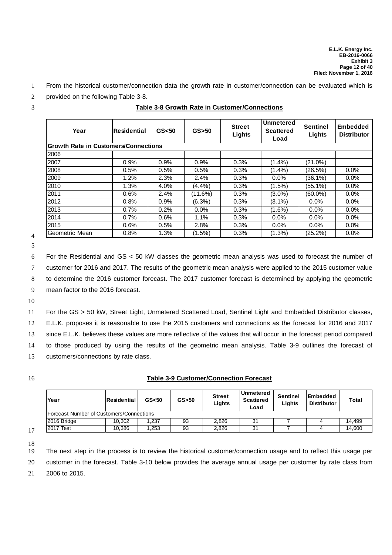- 1 From the historical customer/connection data the growth rate in customer/connection can be evaluated which is
- 2 provided on the following Table 3-8.

3 **Table 3-8 Growth Rate in Customer/Connections**

| Year                                        | Residential | GS < 50 | $GS$ > 50 | <b>Street</b><br>Lights | Unmetered<br><b>Scattered</b><br>Load | <b>Sentinel</b><br>Lights | <b>Embedded</b><br><b>Distributor</b> |
|---------------------------------------------|-------------|---------|-----------|-------------------------|---------------------------------------|---------------------------|---------------------------------------|
| <b>Growth Rate in Customers/Connections</b> |             |         |           |                         |                                       |                           |                                       |
| 2006                                        |             |         |           |                         |                                       |                           |                                       |
| 2007                                        | 0.9%        | 0.9%    | 0.9%      | 0.3%                    | $(1.4\%)$                             | $(21.0\%)$                |                                       |
| 2008                                        | 0.5%        | 0.5%    | 0.5%      | 0.3%                    | $(1.4\%)$                             | (26.5%)                   | $0.0\%$                               |
| 2009                                        | 1.2%        | 2.3%    | 2.4%      | 0.3%                    | 0.0%                                  | $(36.1\%)$                | $0.0\%$                               |
| 2010                                        | 1.3%        | 4.0%    | (4.4%)    | 0.3%                    | $(1.5\%)$                             | $(55.1\%)$                | $0.0\%$                               |
| 2011                                        | 0.6%        | 2.4%    | (11.6%)   | 0.3%                    | $(3.0\%)$                             | $(60.0\%)$                | $0.0\%$                               |
| 2012                                        | 0.8%        | 0.9%    | $(6.3\%)$ | 0.3%                    | $(3.1\%)$                             | 0.0%                      | 0.0%                                  |
| 2013                                        | 0.7%        | 0.2%    | $0.0\%$   | 0.3%                    | $(1.6\%)$                             | $0.0\%$                   | $0.0\%$                               |
| 2014                                        | 0.7%        | 0.6%    | 1.1%      | 0.3%                    | $0.0\%$                               | $0.0\%$                   | $0.0\%$                               |
| 2015                                        | 0.6%        | 0.5%    | 2.8%      | 0.3%                    | $0.0\%$                               | $0.0\%$                   | $0.0\%$                               |
| Geometric Mean                              | 0.8%        | 1.3%    | (1.5%)    | 0.3%                    | $(1.3\%)$                             | (25.2%)                   | 0.0%                                  |

#### 4 5

6 For the Residential and GS < 50 kW classes the geometric mean analysis was used to forecast the number of

7 customer for 2016 and 2017. The results of the geometric mean analysis were applied to the 2015 customer value

8 to determine the 2016 customer forecast. The 2017 customer forecast is determined by applying the geometric

9 mean factor to the 2016 forecast.

10

 For the GS > 50 kW, Street Light, Unmetered Scattered Load, Sentinel Light and Embedded Distributor classes, E.L.K. proposes it is reasonable to use the 2015 customers and connections as the forecast for 2016 and 2017 since E.L.K. believes these values are more reflective of the values that will occur in the forecast period compared to those produced by using the results of the geometric mean analysis. Table 3-9 outlines the forecast of customers/connections by rate class.

# 16 **Table 3-9 Customer/Connection Forecast**

| Year                                     | <b>IResidential</b> | GS <sub>50</sub> | $GS$ > 50 | <b>Street</b><br>Lights | <b>IUnmetered</b><br><b>Scattered</b><br>Load | Sentinel<br>Lights | Embedded<br><b>Distributor</b> | <b>Total</b> |
|------------------------------------------|---------------------|------------------|-----------|-------------------------|-----------------------------------------------|--------------------|--------------------------------|--------------|
| Forecast Number of Customers/Connections |                     |                  |           |                         |                                               |                    |                                |              |
| 2016 Bridge                              | 10.302              | .237             | 93        | 2.826                   | 31                                            |                    |                                | 14.499       |
| 2017 Test                                | 10.386              | .253             | 93        | 2.826                   | 31                                            |                    |                                | 14,600       |

17 18

19 The next step in the process is to review the historical customer/connection usage and to reflect this usage per

20 customer in the forecast. Table 3-10 below provides the average annual usage per customer by rate class from

21 2006 to 2015.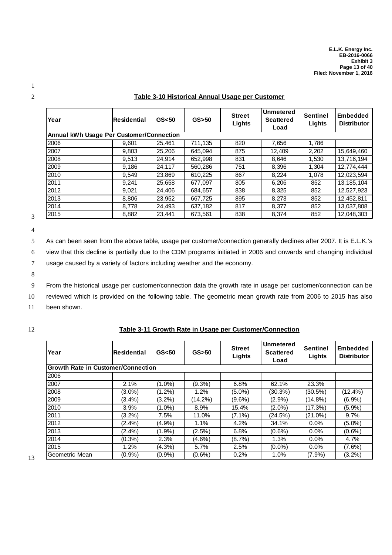| Year                                            | Residential | GS <sub>50</sub> | $GS$ >50 | <b>Street</b><br>Lights | <b>Unmetered</b><br><b>Scattered</b><br>Load | <b>Sentinel</b><br>Lights | <b>Embedded</b><br><b>Distributor</b> |
|-------------------------------------------------|-------------|------------------|----------|-------------------------|----------------------------------------------|---------------------------|---------------------------------------|
| <b>Annual kWh Usage Per Customer/Connection</b> |             |                  |          |                         |                                              |                           |                                       |
| 2006                                            | 9,601       | 25,461           | 711,135  | 820                     | 7,656                                        | 1,786                     |                                       |
| 2007                                            | 9,803       | 25,206           | 645.094  | 875                     | 12,409                                       | 2,202                     | 15,649,460                            |
| 2008                                            | 9,513       | 24,914           | 652,998  | 831                     | 8,646                                        | 1,530                     | 13,716,194                            |
| 2009                                            | 9,186       | 24,117           | 560.286  | 751                     | 8,396                                        | 1,304                     | 12,774,444                            |
| 2010                                            | 9.549       | 23,869           | 610,225  | 867                     | 8,224                                        | 1,078                     | 12,023,594                            |
| 2011                                            | 9,241       | 25,658           | 677,097  | 805                     | 6,206                                        | 852                       | 13, 185, 104                          |
| 2012                                            | 9,021       | 24,406           | 684.657  | 838                     | 8,325                                        | 852                       | 12,527,923                            |
| 2013                                            | 8,806       | 23,952           | 667,725  | 895                     | 8,273                                        | 852                       | 12,452,811                            |
| 2014                                            | 8,778       | 24,493           | 637,182  | 817                     | 8,377                                        | 852                       | 13,037,808                            |
| 2015                                            | 8,882       | 23.441           | 673.561  | 838                     | 8.374                                        | 852                       | 12.048.303                            |

#### 2 **Table 3-10 Historical Annual Usage per Customer**

3 4

8

5 As can been seen from the above table, usage per customer/connection generally declines after 2007. It is E.L.K.'s 6 view that this decline is partially due to the CDM programs initiated in 2006 and onwards and changing individual

7 usage caused by a variety of factors including weather and the economy.

9 From the historical usage per customer/connection data the growth rate in usage per customer/connection can be

10 reviewed which is provided on the following table. The geometric mean growth rate from 2006 to 2015 has also

11 been shown.

#### 12 **Table 3-11 Growth Rate in Usage per Customer/Connection**

| Year                                      | lResidential | GS <sub>50</sub> | $GS$ > 50 | <b>Street</b><br>Lights | Unmetered<br><b>Scattered</b><br>Load | <b>Sentinel</b><br>Lights | <b>Embedded</b><br><b>Distributor</b> |
|-------------------------------------------|--------------|------------------|-----------|-------------------------|---------------------------------------|---------------------------|---------------------------------------|
| <b>Growth Rate in Customer/Connection</b> |              |                  |           |                         |                                       |                           |                                       |
| 2006                                      |              |                  |           |                         |                                       |                           |                                       |
| 2007                                      | 2.1%         | (1.0%)           | $(9.3\%)$ | 6.8%                    | 62.1%                                 | 23.3%                     |                                       |
| 2008                                      | $(3.0\%)$    | $(1.2\%)$        | 1.2%      | (5.0%)                  | $(30.3\%)$                            | (30.5%)                   | (12.4%)                               |
| 2009                                      | $(3.4\%)$    | $(3.2\%)$        | (14.2%)   | (9.6%)                  | $(2.9\%)$                             | (14.8%)                   | $(6.9\%)$                             |
| 2010                                      | 3.9%         | $(1.0\%)$        | 8.9%      | 15.4%                   | $(2.0\%)$                             | (17.3%)                   | $(5.9\%)$                             |
| 2011                                      | $(3.2\%)$    | 7.5%             | 11.0%     | $(7.1\%)$               | (24.5%)                               | $(21.0\%)$                | 9.7%                                  |
| 2012                                      | $(2.4\%)$    | (4.9%)           | 1.1%      | 4.2%                    | 34.1%                                 | 0.0%                      | $(5.0\%)$                             |
| 2013                                      | $(2.4\%)$    | $(1.9\%)$        | $(2.5\%)$ | 6.8%                    | $(0.6\%)$                             | $0.0\%$                   | $(0.6\%)$                             |
| 2014                                      | $(0.3\%)$    | 2.3%             | (4.6%)    | (8.7%)                  | 1.3%                                  | $0.0\%$                   | 4.7%                                  |
| 2015                                      | 1.2%         | $(4.3\%)$        | 5.7%      | 2.5%                    | $(0.0\%)$                             | $0.0\%$                   | $(7.6\%)$                             |
| Geometric Mean                            | (0.9%        | $(0.9\%)$        | $(0.6\%)$ | 0.2%                    | 1.0%                                  | $(7.9\%)$                 | $(3.2\%)$                             |

1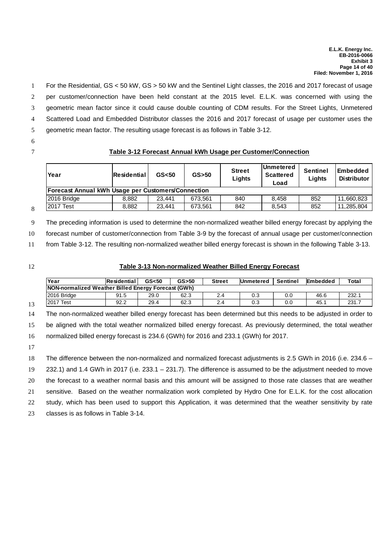For the Residential, GS < 50 kW, GS > 50 kW and the Sentinel Light classes, the 2016 and 2017 forecast of usage per customer/connection have been held constant at the 2015 level. E.L.K. was concerned with using the geometric mean factor since it could cause double counting of CDM results. For the Street Lights, Unmetered Scattered Load and Embedded Distributor classes the 2016 and 2017 forecast of usage per customer uses the geometric mean factor. The resulting usage forecast is as follows in Table 3-12.

6

#### 7 **Table 3-12 Forecast Annual kWh Usage per Customer/Connection**

| Year                                               | lResidential | GS <sub>50</sub> | $GS$ >50 | <b>Street</b><br>Lights | <b>IUnmetered</b><br>Scattered<br>Load | <b>Sentinel</b><br>Liahts | <b>Embedded</b><br><b>Distributor</b> |
|----------------------------------------------------|--------------|------------------|----------|-------------------------|----------------------------------------|---------------------------|---------------------------------------|
| Forecast Annual kWh Usage per Customers/Connection |              |                  |          |                         |                                        |                           |                                       |
| 2016 Bridge                                        | 8.882        | 23.441           | 673.561  | 840                     | 8.458                                  | 852                       | 11.660.823                            |
| <b>2017 Test</b>                                   | 8,882        | 23.441           | 673.561  | 842                     | 8,543                                  | 852                       | 11,285,804                            |

8

9 The preceding information is used to determine the non-normalized weather billed energy forecast by applying the

10 forecast number of customer/connection from Table 3-9 by the forecast of annual usage per customer/connection

11 from Table 3-12. The resulting non-normalized weather billed energy forecast is shown in the following Table 3-13.

#### 12 **Table 3-13 Non-normalized Weather Billed Energy Forecast**

| Year                                                | <b>Residential</b> | GS <sub>50</sub> | $GS$ >50 | <b>Street</b> | <b>IUnmetered</b> | Sentinel | <b>Embedded</b> | Total |
|-----------------------------------------------------|--------------------|------------------|----------|---------------|-------------------|----------|-----------------|-------|
| NON-normalized Weather Billed Energy Forecast (GWh) |                    |                  |          |               |                   |          |                 |       |
| 2016 Bridge                                         | 91.5               | 29.0             | 62.3     |               | 0.3               | 0.G      | 46.6            | 232.7 |
| 2017<br>Test                                        | 92.2               | 29.4             | 62.3     | 24            | 0.3               | 0.0      | 45.7            | 231.7 |

14 The non-normalized weather billed energy forecast has been determined but this needs to be adjusted in order to 15 be aligned with the total weather normalized billed energy forecast. As previously determined, the total weather 16 normalized billed energy forecast is 234.6 (GWh) for 2016 and 233.1 (GWh) for 2017.

17

18 The difference between the non-normalized and normalized forecast adjustments is 2.5 GWh in 2016 (i.e. 234.6 –

19 232.1) and 1.4 GWh in 2017 (i.e. 233.1 – 231.7). The difference is assumed to be the adjustment needed to move

20 the forecast to a weather normal basis and this amount will be assigned to those rate classes that are weather

21 sensitive. Based on the weather normalization work completed by Hydro One for E.L.K. for the cost allocation

22 study, which has been used to support this Application, it was determined that the weather sensitivity by rate

23 classes is as follows in Table 3-14.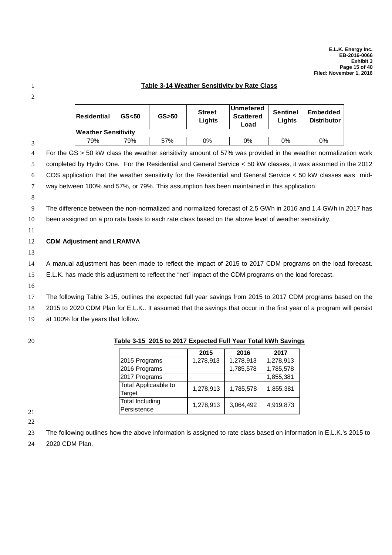#### 1 **Table 3-14 Weather Sensitivity by Rate Class**

2

3

| Residential <sup>i</sup> | GS <sub>50</sub> | $GS$ > 50 | <b>Street</b><br>Lights | Unmetered<br><b>Scattered</b><br>Load | <b>Sentinel</b><br>Liahts | Embedded<br><b>Distributor</b> |
|--------------------------|------------------|-----------|-------------------------|---------------------------------------|---------------------------|--------------------------------|
| Weather Sensitivity      |                  |           |                         |                                       |                           |                                |
| 79%                      | 79%              | 57%       | 0%                      | 0%                                    | 0%                        | $0\%$                          |

 For the GS > 50 kW class the weather sensitivity amount of 57% was provided in the weather normalization work completed by Hydro One. For the Residential and General Service < 50 kW classes, it was assumed in the 2012 COS application that the weather sensitivity for the Residential and General Service < 50 kW classes was mid-way between 100% and 57%, or 79%. This assumption has been maintained in this application.

8

9 The difference between the non-normalized and normalized forecast of 2.5 GWh in 2016 and 1.4 GWh in 2017 has 10 been assigned on a pro rata basis to each rate class based on the above level of weather sensitivity.

11

#### 12 **CDM Adjustment and LRAMVA**

13

14 A manual adjustment has been made to reflect the impact of 2015 to 2017 CDM programs on the load forecast.

15 E.L.K. has made this adjustment to reflect the "net" impact of the CDM programs on the load forecast.

16

17 The following Table 3-15, outlines the expected full year savings from 2015 to 2017 CDM programs based on the

18 2015 to 2020 CDM Plan for E.L.K.. It assumed that the savings that occur in the first year of a program will persist

19 at 100% for the years that follow.

#### 20 **Table 3-15 2015 to 2017 Expected Full Year Total kWh Savings**

|                        | 2015      | 2016      | 2017      |
|------------------------|-----------|-----------|-----------|
| 2015 Programs          | 1,278,913 | 1,278,913 | 1,278,913 |
| 2016 Programs          |           | 1,785,578 | 1,785,578 |
| 2017 Programs          |           |           | 1,855,381 |
| Total Applicaable to   | 1,278,913 | 1,785,578 | 1,855,381 |
| Target                 |           |           |           |
| <b>Total Including</b> | 1,278,913 | 3,064,492 | 4,919,873 |
| Persistence            |           |           |           |

21

22

23 The following outlines how the above information is assigned to rate class based on information in E.L.K.'s 2015 to

24 2020 CDM Plan.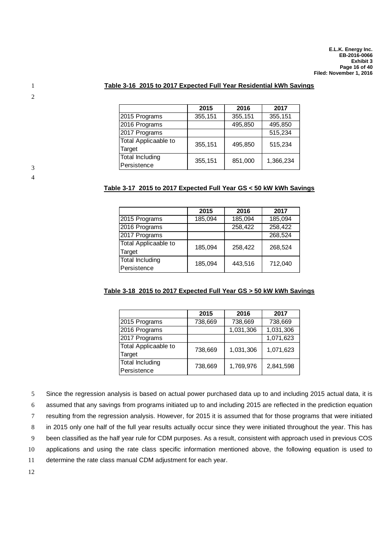#### 1 **Table 3-16 2015 to 2017 Expected Full Year Residential kWh Savings**

|                      | 2015    | 2016    | 2017      |
|----------------------|---------|---------|-----------|
| 2015 Programs        | 355,151 | 355,151 | 355,151   |
| 2016 Programs        |         | 495,850 | 495,850   |
| 2017 Programs        |         |         | 515,234   |
| Total Applicaable to | 355,151 | 495,850 | 515,234   |
| Target               |         |         |           |
| Total Including      | 355,151 | 851,000 | 1,366,234 |
| Persistence          |         |         |           |

2

3 4

#### **Table 3-17 2015 to 2017 Expected Full Year GS < 50 kW kWh Savings**

|                      | 2015    | 2016    | 2017    |
|----------------------|---------|---------|---------|
| 2015 Programs        | 185,094 | 185,094 | 185,094 |
| 2016 Programs        |         | 258,422 | 258,422 |
| 2017 Programs        |         |         | 268,524 |
| Total Applicaable to | 185,094 | 258,422 | 268,524 |
| <b>Target</b>        |         |         |         |
| Total Including      | 185,094 | 443,516 | 712,040 |
| Persistence          |         |         |         |

#### **Table 3-18 2015 to 2017 Expected Full Year GS > 50 kW kWh Savings**

|                      | 2015    | 2016      | 2017      |
|----------------------|---------|-----------|-----------|
| 2015 Programs        | 738,669 | 738,669   | 738,669   |
| 2016 Programs        |         | 1,031,306 | 1,031,306 |
| 2017 Programs        |         |           | 1,071,623 |
| Total Applicaable to | 738,669 | 1,031,306 | 1,071,623 |
| Target               |         |           |           |
| Total Including      | 738,669 | 1,769,976 | 2,841,598 |
| Persistence          |         |           |           |

5 Since the regression analysis is based on actual power purchased data up to and including 2015 actual data, it is

6 assumed that any savings from programs initiated up to and including 2015 are reflected in the prediction equation

7 resulting from the regression analysis. However, for 2015 it is assumed that for those programs that were initiated

8 in 2015 only one half of the full year results actually occur since they were initiated throughout the year. This has

9 been classified as the half year rule for CDM purposes. As a result, consistent with approach used in previous COS

10 applications and using the rate class specific information mentioned above, the following equation is used to

11 determine the rate class manual CDM adjustment for each year.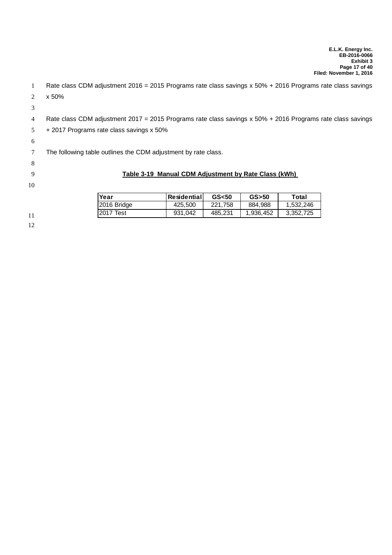| -1 | Rate class CDM adjustment 2016 = 2015 Programs rate class savings x 50% + 2016 Programs rate class savings |                                                      |         |           |           |  |
|----|------------------------------------------------------------------------------------------------------------|------------------------------------------------------|---------|-----------|-----------|--|
| 2  | x 50%                                                                                                      |                                                      |         |           |           |  |
| 3  |                                                                                                            |                                                      |         |           |           |  |
| 4  | Rate class CDM adjustment 2017 = 2015 Programs rate class savings x 50% + 2016 Programs rate class savings |                                                      |         |           |           |  |
| 5  | + 2017 Programs rate class savings x 50%                                                                   |                                                      |         |           |           |  |
| 6  |                                                                                                            |                                                      |         |           |           |  |
|    | The following table outlines the CDM adjustment by rate class.                                             |                                                      |         |           |           |  |
| 8  |                                                                                                            |                                                      |         |           |           |  |
| 9  |                                                                                                            | Table 3-19 Manual CDM Adjustment by Rate Class (kWh) |         |           |           |  |
| 10 |                                                                                                            |                                                      |         |           |           |  |
|    | Year                                                                                                       | <b>Residential</b>                                   | GS < 50 | $GS$ > 50 | Total     |  |
|    | 2016 Bridge                                                                                                | 425,500                                              | 221,758 | 884,988   | 1,532,246 |  |
| 11 | 2017 Test                                                                                                  | 931,042                                              | 485,231 | 1,936,452 | 3,352,725 |  |
| 12 |                                                                                                            |                                                      |         |           |           |  |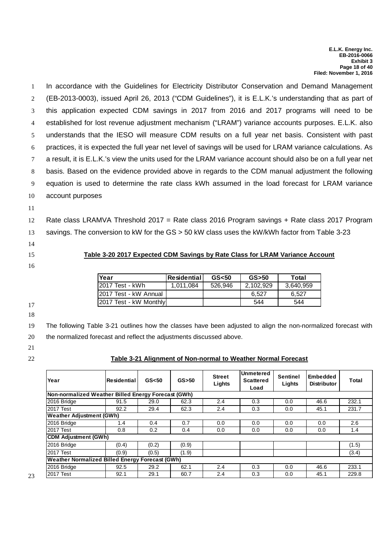1 In accordance with the Guidelines for Electricity Distributor Conservation and Demand Management (EB-2013-0003), issued April 26, 2013 ("CDM Guidelines"), it is E.L.K.'s understanding that as part of this application expected CDM savings in 2017 from 2016 and 2017 programs will need to be established for lost revenue adjustment mechanism ("LRAM") variance accounts purposes. E.L.K. also understands that the IESO will measure CDM results on a full year net basis. Consistent with past practices, it is expected the full year net level of savings will be used for LRAM variance calculations. As a result, it is E.L.K.'s view the units used for the LRAM variance account should also be on a full year net basis. Based on the evidence provided above in regards to the CDM manual adjustment the following equation is used to determine the rate class kWh assumed in the load forecast for LRAM variance account purposes

- 
- 11

12 Rate class LRAMVA Threshold 2017 = Rate class 2016 Program savings + Rate class 2017 Program 13 savings. The conversion to kW for the GS > 50 kW class uses the kW/kWh factor from Table 3-23

- 14
- 
- 

15 **Table 3-20 2017 Expected CDM Savings by Rate Class for LRAM Variance Account**

16

| Year                     | <b>Residential</b> | GS <sub>50</sub> | $GS$ > 50 | Total     |
|--------------------------|--------------------|------------------|-----------|-----------|
| I2017 Test - kWh         | 1.011.084          | 526.946          | 2.102.929 | 3.640.959 |
| I2017 Test - kW Annual   |                    |                  | 6.527     | 6.527     |
| I2017 Test - kW Monthlyl |                    |                  | 544       | 544       |

17 18

19 The following Table 3-21 outlines how the classes have been adjusted to align the non-normalized forecast with

20 the normalized forecast and reflect the adjustments discussed above.

- 21
- 

## 22 **Table 3-21 Alignment of Non-normal to Weather Normal Forecast**

| Year                                                   | <b>IResidential</b> | GS <sub>50</sub> | $GS$ >50 | <b>Street</b><br>Lights | <b>Unmetered</b><br><b>Scattered</b><br>Load | <b>Sentinel</b><br>Lights | Embedded<br><b>Distributor</b> | Total |
|--------------------------------------------------------|---------------------|------------------|----------|-------------------------|----------------------------------------------|---------------------------|--------------------------------|-------|
| Non-normalized Weather Billed Energy Forecast (GWh)    |                     |                  |          |                         |                                              |                           |                                |       |
| 2016 Bridge                                            | 91.5                | 29.0             | 62.3     | 2.4                     | 0.3                                          | 0.0                       | 46.6                           | 232.1 |
| 2017 Test                                              | 92.2                | 29.4             | 62.3     | 2.4                     | 0.3                                          | 0.0                       | 45.1                           | 231.7 |
| <b>Weather Adjustment (GWh)</b>                        |                     |                  |          |                         |                                              |                           |                                |       |
| 2016 Bridge                                            | 1.4                 | 0.4              | 0.7      | 0.0                     | 0.0                                          | 0.0                       | 0.0                            | 2.6   |
| 2017 Test                                              | 0.8                 | 0.2              | 0.4      | 0.0                     | 0.0                                          | 0.0                       | 0.0                            | 1.4   |
| <b>CDM Adjustment (GWh)</b>                            |                     |                  |          |                         |                                              |                           |                                |       |
| 2016 Bridge                                            | (0.4)               | (0.2)            | (0.9)    |                         |                                              |                           |                                | (1.5) |
| <b>2017 Test</b>                                       | (0.9)               | (0.5)            | (1.9)    |                         |                                              |                           |                                | (3.4) |
| <b>Weather Normalized Billed Energy Forecast (GWh)</b> |                     |                  |          |                         |                                              |                           |                                |       |
| 2016 Bridge                                            | 92.5                | 29.2             | 62.1     | 2.4                     | 0.3                                          | 0.0                       | 46.6                           | 233.1 |
| <b>2017 Test</b>                                       | 92.1                | 29.1             | 60.7     | 2.4                     | 0.3                                          | 0.0                       | 45.1                           | 229.8 |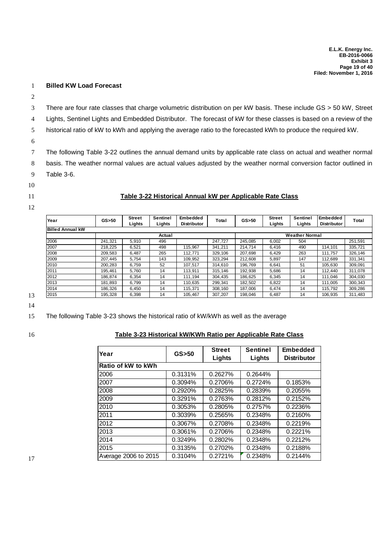#### 1 **Billed KW Load Forecast**

2

3 There are four rate classes that charge volumetric distribution on per kW basis. These include GS > 50 kW, Street

4 Lights, Sentinel Lights and Embedded Distributor. The forecast of kW for these classes is based on a review of the

5 historical ratio of kW to kWh and applying the average ratio to the forecasted kWh to produce the required kW.

6

7 The following Table 3-22 outlines the annual demand units by applicable rate class on actual and weather normal 8 basis. The weather normal values are actual values adjusted by the weather normal conversion factor outlined in 9 Table 3-6.

- 
- 10
- 

#### 11 **Table 3-22 Historical Annual kW per Applicable Rate Class**

12

| Year                            | $GS$ > 50 | <b>Street</b><br>Lights | <b>Sentinel</b><br>Lights | <b>Embedded</b><br><b>Distributor</b> | Total   | $GS$ > 50 | <b>Street</b><br>Lights | <b>Sentinel</b><br>Lights | Embedded<br><b>Distributor</b> | Total   |
|---------------------------------|-----------|-------------------------|---------------------------|---------------------------------------|---------|-----------|-------------------------|---------------------------|--------------------------------|---------|
| <b>Billed Annual kW</b>         |           |                         |                           |                                       |         |           |                         |                           |                                |         |
| <b>Weather Normal</b><br>Actual |           |                         |                           |                                       |         |           |                         |                           |                                |         |
| 2006                            | 241.321   | 5.910                   | 496                       |                                       | 247.727 | 245.085   | 6,002                   | 504                       |                                | 251.591 |
| 2007                            | 218.225   | 6.521                   | 498                       | 115.967                               | 341.211 | 214.714   | 6,416                   | 490                       | 114.101                        | 335,721 |
| 2008                            | 209,583   | 6.487                   | 265                       | 112.771                               | 329.106 | 207.698   | 6.429                   | 263                       | 111.757                        | 326.146 |
| 2009                            | 207,445   | 5.754                   | 143                       | 109,952                               | 323,294 | 212.608   | 5.897                   | 147                       | 112.689                        | 331.341 |
| 2010                            | 200.283   | 6.759                   | 52                        | 107.517                               | 314.610 | 196.769   | 6.641                   | 51                        | 105.630                        | 309.091 |
| 2011                            | 195.461   | 5.760                   | 14                        | 113.911                               | 315.146 | 192.938   | 5,686                   | 14                        | 112.440                        | 311.078 |
| 2012                            | 186,874   | 6,354                   | 14                        | 111.194                               | 304,435 | 186,625   | 6,345                   | 14                        | 111.046                        | 304,030 |
| 2013                            | 181.893   | 6.799                   | 14                        | 110.635                               | 299.341 | 182.502   | 6,822                   | 14                        | 111.005                        | 300.343 |
| 2014                            | 186.326   | 6.450                   | 14                        | 115.371                               | 308,160 | 187,006   | 6.474                   | 14                        | 115.792                        | 309.286 |
| 2015                            | 195,328   | 6,398                   | 14                        | 105,467                               | 307,207 | 198.046   | 6,487                   | 14                        | 106.935                        | 311,483 |

13

14

15 The following Table 3-23 shows the historical ratio of kW/kWh as well as the average

## 16 **Table 3-23 Historical kW/KWh Ratio per Applicable Rate Class**

| Year                 | $GS$ > 50 | <b>Street</b> | <b>Sentinel</b> | <b>Embedded</b>    |
|----------------------|-----------|---------------|-----------------|--------------------|
|                      |           | Lights        | Lights          | <b>Distributor</b> |
| Ratio of kW to kWh   |           |               |                 |                    |
| 2006                 | 0.3131%   | 0.2627%       | 0.2644%         |                    |
| 2007                 | 0.3094%   | 0.2706%       | 0.2724%         | 0.1853%            |
| 2008                 | 0.2920%   | 0.2825%       | 0.2839%         | 0.2055%            |
| 2009                 | 0.3291%   | 0.2763%       | 0.2812%         | 0.2152%            |
| 2010                 | 0.3053%   | 0.2805%       | 0.2757%         | 0.2236%            |
| 2011                 | 0.3039%   | 0.2565%       | 0.2348%         | 0.2160%            |
| 2012                 | 0.3067%   | 0.2708%       | 0.2348%         | 0.2219%            |
| 2013                 | 0.3061%   | 0.2706%       | 0.2348%         | 0.2221%            |
| 2014                 | 0.3249%   | 0.2802%       | 0.2348%         | 0.2212%            |
| 2015                 | 0.3135%   | 0.2702%       | 0.2348%         | 0.2188%            |
| Average 2006 to 2015 | 0.3104%   | 0.2721%       | 0.2348%         | 0.2144%            |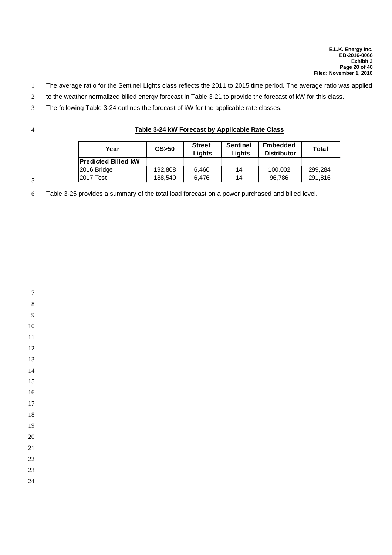- The average ratio for the Sentinel Lights class reflects the 2011 to 2015 time period. The average ratio was applied
- to the weather normalized billed energy forecast in Table 3-21 to provide the forecast of kW for this class.
- The following Table 3-24 outlines the forecast of kW for the applicable rate classes.

## **Table 3-24 kW Forecast by Applicable Rate Class**

| Year                       | $GS$ > 50 | <b>Sentinel</b><br><b>Street</b><br>Lights<br>Lights |    | <b>Embedded</b><br><b>Distributor</b> | Total   |
|----------------------------|-----------|------------------------------------------------------|----|---------------------------------------|---------|
| <b>Predicted Billed kW</b> |           |                                                      |    |                                       |         |
| 2016 Bridge                | 192.808   | 6.460                                                | 14 | 100.002                               | 299.284 |
| 2017 Test                  | 188.540   | 6.476                                                | 14 | 96.786                                | 291.816 |

Table 3-25 provides a summary of the total load forecast on a power purchased and billed level.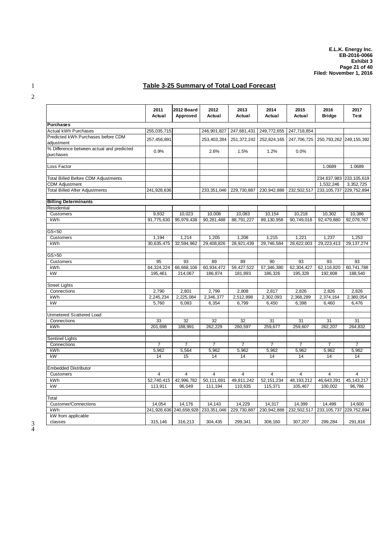# 1 **Table 3-25 Summary of Total Load Forecast**

|                                                        | 2011<br>Actual | 2012 Board<br>Approved | 2012<br><b>Actual</b>               | 2013<br><b>Actual</b> | 2014<br>Actual | 2015<br>Actual | 2016<br><b>Bridge</b>       | 2017<br>Test   |
|--------------------------------------------------------|----------------|------------------------|-------------------------------------|-----------------------|----------------|----------------|-----------------------------|----------------|
| <b>Purchases</b>                                       |                |                        |                                     |                       |                |                |                             |                |
| Actual kWh Purchases                                   | 255,035,715    |                        | 246,901,827                         | 247,681,431           | 249,772,655    | 247,718,854    |                             |                |
| Predicted kWh Purchases before CDM<br>adjustment       | 257,456,891    |                        | 253,403,284                         | 251,372,242           | 252,824,165    | 247,706,725    | 250, 793, 262 249, 155, 392 |                |
| % Difference between actual and predicted<br>purchases | 0.9%           |                        | 2.6%                                | 1.5%                  | 1.2%           | 0.0%           |                             |                |
| Loss Factor                                            |                |                        |                                     |                       |                |                | 1.0689                      | 1.0689         |
| <b>Total Billed Before CDM Adjustments</b>             |                |                        |                                     |                       |                |                | 234,637,983                 | 233,105,619    |
| <b>CDM Adjustment</b>                                  |                |                        |                                     |                       |                |                | 1,532,246                   | 3,352,725      |
| <b>Total Billed After Adjustments</b>                  | 241,928,636    |                        | 233, 351, 046                       | 229,730,887           | 230, 942, 888  | 232,502,517    | 233, 105, 737               | 229,752,894    |
| <b>Billing Determinants</b>                            |                |                        |                                     |                       |                |                |                             |                |
| Residential                                            |                |                        |                                     |                       |                |                |                             |                |
| Customers                                              | 9,932          | 10,023                 | 10,008                              | 10,083                | 10,154         | 10,218         | 10,302                      | 10,386         |
| kWh                                                    | 91,775,630     | 95,979,438             | 90,281,488                          | 88,791,227            | 89,130,958     | 90,749,018     | 92,479,880                  | 92,079,767     |
| GS < 50                                                |                |                        |                                     |                       |                |                |                             |                |
| Customers                                              | 1,194          | 1,214                  | 1,205                               | 1,208                 | 1,215          | 1,221          | 1,237                       | 1,253          |
| kWh                                                    | 30,635,475     | 32,594,962             | 29,408,826                          | 28,921,439            | 29,746,584     | 28,622,003     | 29,223,413                  | 29, 137, 274   |
| GS > 50                                                |                |                        |                                     |                       |                |                |                             |                |
| Customers                                              | 95             | 93                     | 89                                  | 89                    | 90             | 93             | 93                          | 93             |
| kWh                                                    | 64,324,224     | 66,668,106             | 60,934,472                          | 59,427,522            | 57,346,380     | 62,304,427     | 62,116,820                  | 60,741,788     |
| kW                                                     | 195,461        | 214,067                | 186,874                             | 181,893               | 186,326        | 195,328        | 192,808                     | 188,540        |
| <b>Street Lights</b>                                   |                |                        |                                     |                       |                |                |                             |                |
| Connections                                            | 2,790          | 2,801                  | 2,799                               | 2,808                 | 2,817          | 2,826          | 2,826                       | 2,826          |
| kWh                                                    | 2,245,234      | 2,225,084              | 2,346,377                           | 2,512,898             | 2,302,093      | 2,368,289      | 2,374,164                   | 2,380,054      |
| kW                                                     | 5,760          | 6,083                  | 6,354                               | 6,799                 | 6,450          | 6,398          | 6,460                       | 6,476          |
| Unmetered Scattered Load                               |                |                        |                                     |                       |                |                |                             |                |
| Connections                                            | 33             | $\overline{32}$        | 32                                  | $\overline{32}$       | 31             | 31             | 31                          | 31             |
| kWh                                                    | 201,696        | 188,991                | 262,229                             | 260,597               | 259,677        | 259,607        | 262,207                     | 264,832        |
| <b>Sentinel Lights</b>                                 |                |                        |                                     |                       |                |                |                             |                |
| Connections                                            | $\overline{7}$ | 7                      | $\overline{7}$                      | $\overline{7}$        | $\overline{7}$ | $\overline{7}$ | $\overline{7}$              | $\overline{7}$ |
| kWh                                                    | 5,962          | 5,564                  | 5,962                               | 5,962                 | 5,962          | 5,962          | 5,962                       | 5,962          |
| kW                                                     | 14             | 15                     | 14                                  | 14                    | 14             | 14             | 14                          | 14             |
| <b>Embedded Distributor</b>                            |                |                        |                                     |                       |                |                |                             |                |
| Customers                                              | 4              | 4                      | $\overline{4}$                      | $\overline{4}$        | $\overline{4}$ | $\overline{4}$ | $\overline{4}$              | $\overline{4}$ |
| kWh                                                    | 52,740,415     | 42,996,782             | 50,111,691                          | 49,811,242            | 52, 151, 234   | 48, 193, 212   | 46,643,291                  | 45, 143, 217   |
| kW                                                     | 113,911        | 96,049                 | 111,194                             | 110,635               | 115,371        | 105,467        | 100,002                     | 96,786         |
| Total                                                  |                |                        |                                     |                       |                |                |                             |                |
| <b>Customer/Connections</b>                            | 14.054         | 14.176                 | 14.143                              | 14.229                | 14.317         | 14,399         | 14.499                      | 14.600         |
| kWh                                                    |                |                        | 241,928,636 240,658,928 233,351,046 | 229,730,887           | 230,942,888    | 232,502,517    | 233, 105, 737               | 229,752,894    |
| kW from applicable                                     |                |                        |                                     |                       |                |                |                             |                |
| classes                                                | 315,146        | 316,213                | 304,435                             | 299,341               | 308,160        | 307,207        | 299,284                     | 291,816        |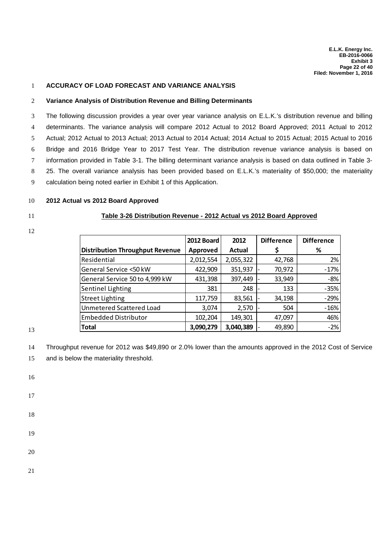#### 1 **ACCURACY OF LOAD FORECAST AND VARIANCE ANALYSIS**

#### 2 **Variance Analysis of Distribution Revenue and Billing Determinants**

 The following discussion provides a year over year variance analysis on E.L.K.'s distribution revenue and billing determinants. The variance analysis will compare 2012 Actual to 2012 Board Approved; 2011 Actual to 2012 Actual; 2012 Actual to 2013 Actual; 2013 Actual to 2014 Actual; 2014 Actual to 2015 Actual; 2015 Actual to 2016 Bridge and 2016 Bridge Year to 2017 Test Year. The distribution revenue variance analysis is based on information provided in Table 3-1. The billing determinant variance analysis is based on data outlined in Table 3- 25. The overall variance analysis has been provided based on E.L.K.'s materiality of \$50,000; the materiality calculation being noted earlier in Exhibit 1 of this Application.

#### 10 **2012 Actual vs 2012 Board Approved**

#### 11 **Table 3-26 Distribution Revenue - 2012 Actual vs 2012 Board Approved**

12

|                                        | 2012 Board | 2012          | <b>Difference</b> | <b>Difference</b> |
|----------------------------------------|------------|---------------|-------------------|-------------------|
| <b>Distribution Throughput Revenue</b> | Approved   | <b>Actual</b> |                   | %                 |
| Residential                            | 2,012,554  | 2,055,322     | 42,768            | 2%                |
| General Service <50 kW                 | 422,909    | 351,937       | 70,972            | $-17%$            |
| General Service 50 to 4,999 kW         | 431,398    | 397,449       | 33,949            | $-8%$             |
| Sentinel Lighting                      | 381        | 248           | 133               | $-35%$            |
| <b>Street Lighting</b>                 | 117,759    | 83,561        | 34,198            | $-29%$            |
| Unmetered Scattered Load               | 3,074      | 2,570         | 504               | $-16%$            |
| <b>Embedded Distributor</b>            | 102,204    | 149,301       | 47,097            | 46%               |
| <b>Total</b>                           | 3,090,279  | 3,040,389     | 49,890            | $-2%$             |

13

14 Throughput revenue for 2012 was \$49,890 or 2.0% lower than the amounts approved in the 2012 Cost of Service

15 and is below the materiality threshold.

16

17

18

19

20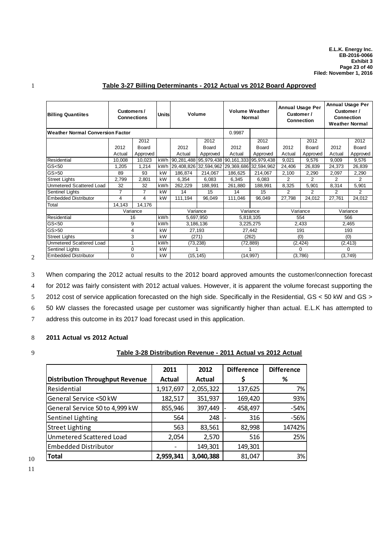| <b>Billing Quantiites</b>               | Customers /    | <b>Connections</b> | Unitsl |           | Volume                | <b>Volume Weather</b><br>Normal |                                             | <b>Annual Usage Per</b><br>Customer /<br>Connection |          | <b>Annual Usage Per</b><br>Customer /<br><b>Connection</b><br><b>Weather Normal</b> |              |
|-----------------------------------------|----------------|--------------------|--------|-----------|-----------------------|---------------------------------|---------------------------------------------|-----------------------------------------------------|----------|-------------------------------------------------------------------------------------|--------------|
| <b>Weather Normal Conversion Factor</b> |                |                    |        |           |                       | 0.9987                          |                                             |                                                     |          |                                                                                     |              |
|                                         |                | 2012               |        |           | 2012                  |                                 | 2012                                        |                                                     | 2012     |                                                                                     | 2012         |
|                                         | 2012           | Board              |        | 2012      | <b>Board</b>          | 2012                            | Board                                       | 2012                                                | Board    | 2012                                                                                | <b>Board</b> |
|                                         | Actual         | Approved           |        | Actual    | Approved              | Actual                          | Approved                                    | Actual                                              | Approved | Actual                                                                              | Approved     |
| Residential                             | 10,008         | 10,023             | kWh    |           |                       |                                 | 90,281,488 95,979,438 90,161,333 95,979,438 | 9,021                                               | 9,576    | 9,009                                                                               | 9,576        |
| GS <sub>50</sub>                        | 1,205          | 1,214              | kWh    |           | 29,408,826 32,594,962 | 29,369,686 32,594,962           |                                             | 24,406                                              | 26,839   | 24,373                                                                              | 26,839       |
| $GS$ > 50                               | 89             | 93                 | kW     | 186,874   | 214,067               | 186,625                         | 214,067                                     | 2,100                                               | 2,290    | 2,097                                                                               | 2,290        |
| <b>Street Lights</b>                    | 2,799          | 2,801              | kW     | 6,354     | 6,083                 | 6,345                           | 6,083                                       | $\overline{2}$                                      | 2        | $\overline{2}$                                                                      | 2            |
| <b>Unmetered Scattered Load</b>         | 32             | 32                 | kWh    | 262,229   | 188,991               | 261,880                         | 188,991                                     | 8,325                                               | 5,901    | 8,314                                                                               | 5,901        |
| Sentinel Lights                         | $\overline{7}$ | $\overline{7}$     | kW     | 14        | 15                    | 14                              | 15                                          | 2                                                   | 2        | $\overline{2}$                                                                      | 2            |
| <b>Embedded Distributor</b>             | 4              | 4                  | kW     | 111,194   | 96,049                | 111,046                         | 96,049                                      | 27,798                                              | 24,012   | 27,761                                                                              | 24,012       |
| Total                                   | 14,143         | 14,176             |        |           |                       |                                 |                                             |                                                     |          |                                                                                     |              |
|                                         |                | Variance           |        |           | Variance              |                                 | Variance                                    |                                                     | Variance |                                                                                     | Variance     |
| Residential                             |                | 16                 | kWh    |           | 5,697,950             |                                 | 5,818,105                                   |                                                     | 554      |                                                                                     | 566          |
| GS < 50                                 |                | 9                  | kWh    |           | 3,186,136             |                                 | 3,225,275                                   |                                                     | 2,433    |                                                                                     | 2,465        |
| $GS$ > 50                               |                | 4                  | kW     | 27,193    |                       |                                 | 27,442                                      |                                                     | 191      |                                                                                     | 193          |
| <b>Street Lights</b>                    |                | 3                  | kW     | (271)     |                       |                                 | (262)                                       |                                                     | (0)      |                                                                                     | (0)          |
| Unmetered Scattered Load                |                |                    | kWh    | (73, 238) |                       |                                 | (72, 889)                                   | (2, 424)                                            |          | (2, 413)                                                                            |              |
| Sentinel Lights                         |                | 0                  | kW     |           |                       |                                 |                                             | $\Omega$                                            |          | 0                                                                                   |              |
| <b>Embedded Distributor</b>             |                | 0                  | kW     |           | (15, 145)             |                                 | (14, 997)                                   |                                                     | (3,786)  |                                                                                     | (3,749)      |

## 1 **Table 3-27 Billing Determinants - 2012 Actual vs 2012 Board Approved**

 When comparing the 2012 actual results to the 2012 board approved amounts the customer/connection forecast for 2012 was fairly consistent with 2012 actual values. However, it is apparent the volume forecast supporting the 2012 cost of service application forecasted on the high side. Specifically in the Residential, GS < 50 kW and GS > 50 kW classes the forecasted usage per customer was significantly higher than actual. E.L.K has attempted to address this outcome in its 2017 load forecast used in this application.

## 8 **2011 Actual vs 2012 Actual**

 $\overline{2}$ 

## 9 **Table 3-28 Distribution Revenue - 2011 Actual vs 2012 Actual**

|                                        | 2011          | 2012      | <b>Difference</b> | <b>Difference</b> |
|----------------------------------------|---------------|-----------|-------------------|-------------------|
| <b>Distribution Throughput Revenue</b> | <b>Actual</b> | Actual    | \$                | %                 |
| Residential                            | 1,917,697     | 2,055,322 | 137,625           | 7%                |
| General Service <50 kW                 | 182,517       | 351,937   | 169,420           | 93%               |
| General Service 50 to 4,999 kW         | 855,946       | 397,449   | 458,497           | $-54%$            |
| Sentinel Lighting                      | 564           | 248       | 316               | $-56%$            |
| <b>Street Lighting</b>                 | 563           | 83,561    | 82,998            | 14742%            |
| Unmetered Scattered Load               | 2,054         | 2,570     | 516               | 25%               |
| <b>Embedded Distributor</b>            |               | 149,301   | 149,301           |                   |
| Total                                  | 2,959,341     | 3,040,388 | 81,047            | 3%                |

10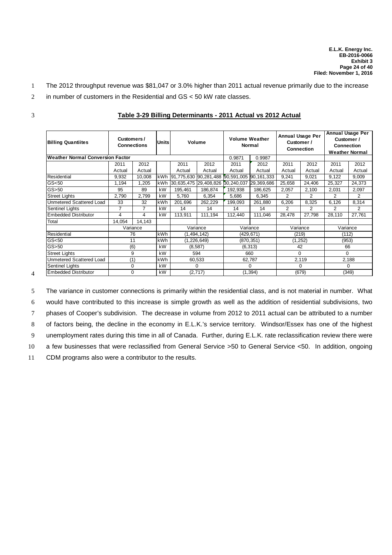- 1 The 2012 throughput revenue was \$81,047 or 3.0% higher than 2011 actual revenue primarily due to the increase
- 2 in number of customers in the Residential and GS < 50 kW rate classes.

| I<br>٠<br>I |
|-------------|
|             |
|             |
| I<br>I      |

4

| <b>Billing Quantiites</b>               |                | Customers /<br><b>Units</b><br><b>Connections</b> |            |         | Volume                |                                             | <b>Volume Weather</b><br><b>Normal</b> |          | <b>Annual Usage Per</b><br>Customer /<br><b>Connection</b> |          | <b>Annual Usage Per</b><br>Customer /<br><b>Connection</b><br><b>Weather Normal</b> |  |
|-----------------------------------------|----------------|---------------------------------------------------|------------|---------|-----------------------|---------------------------------------------|----------------------------------------|----------|------------------------------------------------------------|----------|-------------------------------------------------------------------------------------|--|
| <b>Weather Normal Conversion Factor</b> |                |                                                   |            |         |                       | 0.9871                                      | 0.9987                                 |          |                                                            |          |                                                                                     |  |
|                                         | 2011           | 2012                                              |            | 2011    | 2012                  | 2011                                        | 2012                                   | 2011     | 2012                                                       | 2011     | 2012                                                                                |  |
|                                         | Actual         | Actual                                            |            | Actual  | Actual                | Actual                                      | Actual                                 | Actual   | Actual                                                     | Actual   | Actual                                                                              |  |
| Residential                             | 9,932          | 10,008                                            | kWh        |         |                       | 91,775,630 90,281,488 90,591,005 90,161,333 |                                        | 9,241    | 9,021                                                      | 9,122    | 9,009                                                                               |  |
| GS <sub>50</sub>                        | 1,194          | 1,205                                             | kWh        |         | 30,635,475 29,408,826 | 30,240,037                                  | 29,369,686                             | 25,658   | 24,406                                                     | 25,327   | 24,373                                                                              |  |
| $GS$ > 50                               | 95             | 89                                                | kW         | 195,461 | 186,874               | 192,938                                     | 186,625                                | 2,057    | 2,100                                                      | 2,031    | 2,097                                                                               |  |
| <b>Street Lights</b>                    | 2,790          | 2.799                                             | kW         | 5.760   | 6,354                 | 5,686                                       | 6,345                                  | 2        | 2                                                          | 2        | 2                                                                                   |  |
| Unmetered Scattered Load                | 33             | 32                                                | kWh        | 201,696 | 262,229               | 199,093                                     | 261,880                                | 6,206    | 8,325                                                      | 6,126    | 8,314                                                                               |  |
| <b>Sentinel Lights</b>                  | $\overline{7}$ | $\overline{7}$                                    | kW         | 14      | 14                    | 14                                          | 14                                     | 2        | 2                                                          | 2        | $\mathfrak{p}$                                                                      |  |
| <b>Embedded Distributor</b>             | 4              | 4                                                 | kW         | 113.911 | 111.194               | 112.440                                     | 111,046                                | 28,478   | 27,798                                                     | 28,110   | 27,761                                                                              |  |
| Total                                   | 14,054         | 14,143                                            |            |         |                       |                                             |                                        |          |                                                            |          |                                                                                     |  |
|                                         |                | Variance                                          |            |         | Variance              | Variance                                    |                                        | Variance |                                                            | Variance |                                                                                     |  |
| Residential                             |                | 76                                                | kWh        |         | (1, 494, 142)         |                                             | (429, 671)                             |          | (219)                                                      | (112)    |                                                                                     |  |
| GS <sub>50</sub>                        | 11             |                                                   | <b>kWh</b> |         | (1, 226, 649)         |                                             | (870, 351)                             | (1, 252) |                                                            | (953)    |                                                                                     |  |
| $GS$ > 50                               | (6)            |                                                   | kW         |         | (8,587)               |                                             | (6, 313)                               | 42       |                                                            | 66       |                                                                                     |  |
| <b>Street Lights</b>                    | 9              |                                                   | kW         | 594     |                       |                                             | 660                                    | $\Omega$ |                                                            | 0        |                                                                                     |  |
| Unmetered Scattered Load                | (1)            |                                                   | kWh        | 60,533  |                       | 62,787                                      |                                        | 2,119    |                                                            | 2,188    |                                                                                     |  |
| <b>Sentinel Lights</b>                  | $\Omega$       |                                                   | kW         |         | 0                     | 0                                           |                                        | $\Omega$ |                                                            | $\Omega$ |                                                                                     |  |
| <b>Embedded Distributor</b>             | $\Omega$       |                                                   | kW         |         | (2,717)               | (1, 394)                                    |                                        | (679)    |                                                            | (349)    |                                                                                     |  |

#### 3 **Table 3-29 Billing Determinants - 2011 Actual vs 2012 Actual**

 The variance in customer connections is primarily within the residential class, and is not material in number. What would have contributed to this increase is simple growth as well as the addition of residential subdivisions, two phases of Cooper's subdivision. The decrease in volume from 2012 to 2011 actual can be attributed to a number of factors being, the decline in the economy in E.L.K.'s service territory. Windsor/Essex has one of the highest unemployment rates during this time in all of Canada. Further, during E.L.K. rate reclassification review there were a few businesses that were reclassified from General Service >50 to General Service <50. In addition, ongoing CDM programs also were a contributor to the results.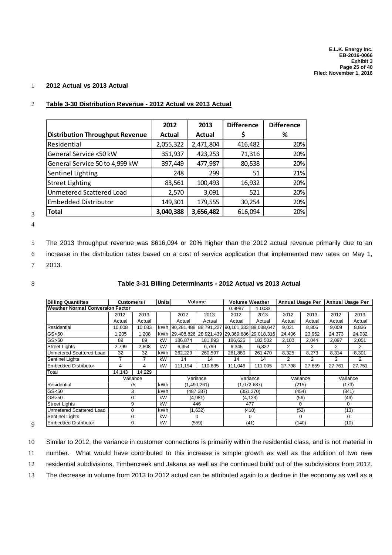## 1 **2012 Actual vs 2013 Actual**

|                                        | 2012      | 2013          | <b>Difference</b> | <b>Difference</b> |
|----------------------------------------|-----------|---------------|-------------------|-------------------|
| <b>Distribution Throughput Revenue</b> | Actual    | <b>Actual</b> |                   | ℅                 |
| Residential                            | 2,055,322 | 2,471,804     | 416,482           | 20%               |
| General Service <50 kW                 | 351,937   | 423,253       | 71,316            | 20%               |
| General Service 50 to 4,999 kW         | 397,449   | 477,987       | 80,538            | 20%               |
| Sentinel Lighting                      | 248       | 299           | 51                | 21%               |
| <b>Street Lighting</b>                 | 83,561    | 100,493       | 16,932            | 20%               |
| Unmetered Scattered Load               | 2,570     | 3,091         | 521               | 20%               |
| <b>Embedded Distributor</b>            | 149,301   | 179,555       | 30,254            | 20%               |
| <b>Total</b>                           | 3,040,388 | 3,656,482     | 616,094           | 20%               |

## 2 **Table 3-30 Distribution Revenue - 2012 Actual vs 2013 Actual**

3 4

5 The 2013 throughput revenue was \$616,094 or 20% higher than the 2012 actual revenue primarily due to an

6 increase in the distribution rates based on a cost of service application that implemented new rates on May 1,

7 2013.

#### 8 **Table 3-31 Billing Determinants - 2012 Actual vs 2013 Actual**

| <b>Billing Quantiites</b>               | Customers / |          | <b>Units</b> |                       | Volume                | <b>Volume Weather</b> |                       | Annual Usage Per |          | <b>Annual Usage Per</b> |          |  |
|-----------------------------------------|-------------|----------|--------------|-----------------------|-----------------------|-----------------------|-----------------------|------------------|----------|-------------------------|----------|--|
| <b>Weather Normal Conversion Factor</b> |             |          |              |                       |                       | 0.9987                | 1.0033                |                  |          |                         |          |  |
|                                         | 2012        | 2013     |              | 2012                  | 2013                  | 2012                  | 2013                  | 2012             | 2013     | 2012                    | 2013     |  |
|                                         | Actual      | Actual   |              | Actual                | Actual                | Actual                | Actual                | Actual           | Actual   | Actual                  | Actual   |  |
| Residential                             | 10,008      | 10,083   | kWh          | 90,281,488 88,791,227 |                       | 90,161,333 89,088,647 |                       | 9,021            | 8,806    | 9.009                   | 8,836    |  |
| GS <sub>50</sub>                        | 1,205       | 1,208    | kWh          |                       | 29,408,826 28,921,439 |                       | 29,369,686 29,018,316 | 24,406           | 23,952   | 24,373                  | 24,032   |  |
| GS > 50                                 | 89          | 89       | kW           | 186,874               | 181,893               | 186,625               | 182,502               | 2,100            | 2,044    | 2,097                   | 2,051    |  |
| <b>Street Lights</b>                    | 2,799       | 2,808    | kW           | 6,354                 | 6,799                 | 6,345                 | 6,822                 | 2                | 2        | 2                       | 2        |  |
| <b>Unmetered Scattered Load</b>         | 32          | 32       | kWh          | 262,229               | 260.597               | 261.880               | 261.470               | 8,325            | 8,273    | 8.314                   | 8,301    |  |
| <b>Sentinel Lights</b>                  | 7           | 7        | kW           | 14                    | 14                    | 14                    | 14                    | 2                | 2        | 2                       | 2        |  |
| <b>Embedded Distributor</b>             | 4           | 4        | kW           | 111,194               | 110,635               | 111.046               | 111.005               | 27,798           | 27,659   | 27,761                  | 27,751   |  |
| Total                                   | 14,143      | 14,229   |              |                       |                       |                       |                       |                  |          |                         |          |  |
|                                         |             | Variance |              |                       | Variance              | Variance              |                       | Variance         |          | Variance                |          |  |
| Residential                             |             | 75       | kWh          |                       | (1,490,261)           |                       | (1,072,687)           |                  | (215)    |                         | (173)    |  |
| GS <sub>50</sub>                        |             | 3        | kWh          |                       | (487, 387)            |                       | (351, 370)            |                  | (454)    |                         | (341)    |  |
| GS > 50                                 |             | 0        | kW           |                       | (4,981)               |                       | (4, 123)              |                  | (56)     |                         | (46)     |  |
| <b>Street Lights</b>                    |             | 9        | kW           | 446                   |                       |                       | 477                   |                  | $\Omega$ |                         | $\Omega$ |  |
| Unmetered Scattered Load                |             | 0        | kWh          |                       | (1,632)               |                       | (410)                 |                  | (52)     |                         | (13)     |  |
| <b>Sentinel Lights</b>                  |             | 0        | kW           | 0                     |                       | $\Omega$              |                       | 0                |          | 0                       |          |  |
| <b>Embedded Distributor</b>             |             | 0        | kW           |                       | (559)                 |                       | (41)                  | (140)            |          | (10)                    |          |  |

9

10 Similar to 2012, the variance in customer connections is primarily within the residential class, and is not material in

11 number. What would have contributed to this increase is simple growth as well as the addition of two new

12 residential subdivisions, Timbercreek and Jakana as well as the continued build out of the subdivisions from 2012.

13 The decrease in volume from 2013 to 2012 actual can be attributed again to a decline in the economy as well as a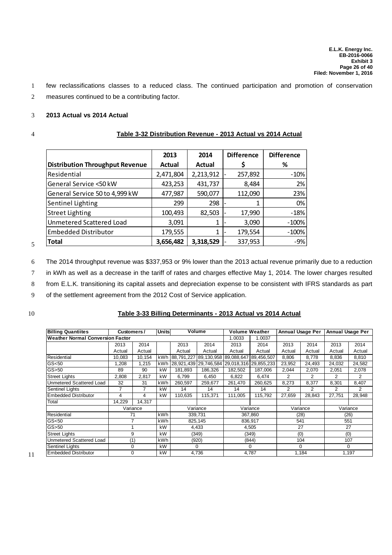1 few reclassifications classes to a reduced class. The continued participation and promotion of conservation

2 measures continued to be a contributing factor.

#### 3 **2013 Actual vs 2014 Actual**

#### 4 **Table 3-32 Distribution Revenue - 2013 Actual vs 2014 Actual**

|                                        | 2013          | 2014      | <b>Difference</b> | <b>Difference</b> |
|----------------------------------------|---------------|-----------|-------------------|-------------------|
| <b>Distribution Throughput Revenue</b> | <b>Actual</b> | Actual    |                   | %                 |
| Residential                            | 2,471,804     | 2,213,912 | 257,892           | $-10%$            |
| General Service <50 kW                 | 423,253       | 431,737   | 8,484             | 2%                |
| General Service 50 to 4,999 kW         | 477,987       | 590,077   | 112,090           | 23%               |
| Sentinel Lighting                      | 299           | 298       |                   | 0%                |
| <b>Street Lighting</b>                 | 100,493       | 82,503    | 17,990            | $-18%$            |
| Unmetered Scattered Load               | 3,091         |           | 3,090             | $-100%$           |
| <b>Embedded Distributor</b>            | 179,555       | 1         | 179,554           | $-100%$           |
| <b>Total</b>                           | 3,656,482     | 3,318,529 | 337,953           | $-9%$             |

6 The 2014 throughput revenue was \$337,953 or 9% lower than the 2013 actual revenue primarily due to a reduction

7 in kWh as well as a decrease in the tariff of rates and charges effective May 1, 2014. The lower charges resulted

8 from E.L.K. transitioning its capital assets and depreciation expense to be consistent with IFRS standards as part

9 of the settlement agreement from the 2012 Cost of Service application.

5

#### 10 **Table 3-33 Billing Determinants - 2013 Actual vs 2014 Actual**

| <b>Billing Quantiites</b>               | Customers / |          | Units |         | Volume                           | <b>Volume Weather</b>                       |            | <b>Annual Usage Per</b> |          | <b>Annual Usage Per</b> |        |
|-----------------------------------------|-------------|----------|-------|---------|----------------------------------|---------------------------------------------|------------|-------------------------|----------|-------------------------|--------|
| <b>Weather Normal Conversion Factor</b> |             |          |       |         |                                  | .0033                                       | 1.0037     |                         |          |                         |        |
|                                         | 2013        | 2014     |       | 2013    | 2014                             | 2013                                        | 2014       | 2013                    | 2014     | 2013                    | 2014   |
|                                         | Actual      | Actual   |       | Actual  | Actual                           | Actual                                      | Actual     | Actual                  | Actual   | Actual                  | Actual |
| Residential                             | 10,083      | 10,154   | kWh   |         | 88,791,227 89,130,958 89,088,647 |                                             | 89,456,507 | 8,806                   | 8,778    | 8,836                   | 8,810  |
| GS <sub>50</sub>                        | 1,208       | 1.215    | kWh   |         |                                  | 28,921,439 29,746,584 29,018,316 29,855,233 |            | 23,952<br>24,493        |          | 24.032                  | 24,582 |
| $GS$ > 50                               | 89          | 90       | kW    | 181.893 | 186,326                          | 182,502                                     | 187,006    | 2,044                   | 2,070    | 2,051                   | 2,078  |
| <b>Street Lights</b>                    | 2,808       | 2,817    | kW    | 6.799   | 6,450                            | 6,822                                       | 6,474      | 2                       | 2        | $\overline{2}$          | 2      |
| <b>Unmetered Scattered Load</b>         | 32          | 31       | kWh   | 260.597 | 259.677                          | 261.470                                     | 260.625    | 8,273<br>8,377          |          | 8,301                   | 8,407  |
| <b>Sentinel Lights</b>                  | 7           | 7        | kW    | 14      | 14                               | 14                                          | 14         | 2<br>2                  |          | 2                       | 2      |
| <b>Embedded Distributor</b>             | 4           | 4        | kW    | 110.635 | 115.371                          | 111.005                                     | 115.792    | 27,659                  | 28.843   | 27.751                  | 28,948 |
| Total                                   | 14,229      | 14,317   |       |         |                                  |                                             |            |                         |          |                         |        |
|                                         |             | Variance |       |         | Variance                         |                                             | Variance   |                         | Variance | Variance                |        |
| Residential                             | 71          |          | kWh   |         | 339,731                          |                                             | 367,860    |                         | (28)     |                         | (26)   |
| GS <sub>50</sub>                        |             |          | kWh   |         | 825,145                          |                                             | 836,917    | 541                     |          | 551                     |        |
| $GS$ > 50                               |             |          | kW    |         | 4,433                            |                                             | 4,505      | 27                      |          |                         | 27     |
| <b>Street Lights</b>                    | 9           |          | kW    |         | (349)                            |                                             | (349)      | (0)                     |          |                         | (0)    |
| <b>Unmetered Scattered Load</b>         | (1)         |          | kWh   | (920)   |                                  |                                             | (844)      | 104                     |          | 107                     |        |
| <b>Sentinel Lights</b>                  |             | 0        | kW    |         | 0                                |                                             | 0          |                         | 0        |                         | 0      |
| Embedded Distributor                    |             | 0        | kW    |         | 4,736                            | 1,184<br>4,787                              |            |                         | 1,197    |                         |        |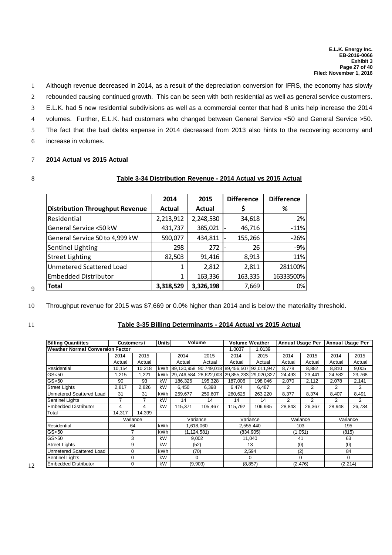- 1 Although revenue decreased in 2014, as a result of the depreciation conversion for IFRS, the economy has slowly
- 2 rebounded causing continued growth. This can be seen with both residential as well as general service customers.
- 3 E.L.K. had 5 new residential subdivisions as well as a commercial center that had 8 units help increase the 2014
- 4 volumes. Further, E.L.K. had customers who changed between General Service <50 and General Service >50.
- 5 The fact that the bad debts expense in 2014 decreased from 2013 also hints to the recovering economy and
- 6 increase in volumes.

## 7 **2014 Actual vs 2015 Actual**

#### 8 **Table 3-34 Distribution Revenue - 2014 Actual vs 2015 Actual**

|                                        | 2014          | 2015      | <b>Difference</b> | <b>Difference</b> |
|----------------------------------------|---------------|-----------|-------------------|-------------------|
| <b>Distribution Throughput Revenue</b> | <b>Actual</b> | Actual    |                   | %                 |
| Residential                            | 2,213,912     | 2,248,530 | 34,618            | 2%                |
| General Service <50 kW                 | 431,737       | 385,021   | 46,716            | $-11%$            |
| General Service 50 to 4,999 kW         | 590,077       | 434,811   | 155,266           | $-26%$            |
| Sentinel Lighting                      | 298           | 272       | 26                | $-9%$             |
| <b>Street Lighting</b>                 | 82,503        | 91,416    | 8,913             | 11%               |
| Unmetered Scattered Load               |               | 2,812     | 2,811             | 281100%           |
| <b>Embedded Distributor</b>            |               | 163,336   | 163,335           | 16333500%         |
| <b>Total</b>                           | 3,318,529     | 3,326,198 | 7,669             | 0%                |

10 Throughput revenue for 2015 was \$7,669 or 0.0% higher than 2014 and is below the materiality threshold.

9

#### 11 **Table 3-35 Billing Determinants - 2014 Actual vs 2015 Actual**

| <b>Billing Quantiites</b>               | Customers / |          | <b>Units</b> |         | Volume                           | <b>Volume Weather</b>                       |            | <b>Annual Usage Per</b> |                | <b>Annual Usage Per</b> |        |
|-----------------------------------------|-------------|----------|--------------|---------|----------------------------------|---------------------------------------------|------------|-------------------------|----------------|-------------------------|--------|
| <b>Weather Normal Conversion Factor</b> |             |          |              |         |                                  | 1.0037                                      | 1.0139     |                         |                |                         |        |
|                                         | 2014        | 2015     |              | 2014    | 2015                             | 2014                                        | 2015       | 2014                    | 2015           | 2014                    | 2015   |
|                                         | Actual      | Actual   |              | Actual  | Actual                           | Actual                                      | Actual     | Actual                  | Actual         | Actual                  | Actual |
| Residential                             | 10,154      | 10,218   | kWh          |         | 89,130,958 90,749,018 89,456,507 |                                             | 92,011,947 | 8,778                   | 8,882          | 8,810                   | 9,005  |
| GS <sub>50</sub>                        | 1,215       | 1,221    | kWh          |         |                                  | 29,746,584 28,622,003 29,855,233 29,020,327 |            | 24,493                  | 23,441         | 24,582                  | 23,768 |
| $GS$ >50                                | 90          | 93       | kW           | 186.326 | 195.328                          | 187,006                                     | 198.046    | 2,070                   | 2,112          | 2,078                   | 2,141  |
| <b>Street Lights</b>                    | 2,817       | 2,826    | kW           | 6,450   | 6.398                            | 6,474                                       | 6,487      | 2                       | 2              |                         | 2      |
| Unmetered Scattered Load                | 31          | 31       | kWh          | 259.677 | 259,607                          | 260,625                                     | 263,220    | 8,377<br>8,374          |                | 8,407                   | 8,491  |
| Sentinel Lights                         | 7           |          | kW           | 14      | 14                               | 14                                          | 14         | $\overline{2}$          | $\overline{2}$ |                         | 2      |
| <b>Embedded Distributor</b>             | 4           | 4        | kW           | 115,371 | 105,467                          | 115,792                                     | 106,935    | 28,843                  | 26,367         | 28,948                  | 26,734 |
| Total                                   | 14.317      | 14.399   |              |         |                                  |                                             |            |                         |                |                         |        |
|                                         |             | Variance |              |         | Variance                         |                                             | Variance   |                         | Variance       | Variance                |        |
| Residential                             |             | 64       | kWh          |         | 1,618,060                        |                                             | 2,555,440  |                         | 103            |                         | 195    |
| GS <sub>50</sub>                        |             | 7        | kWh          |         | (1, 124, 581)                    |                                             | (834, 905) |                         | (1,051)        |                         | (815)  |
| $GS$ >50                                |             | 3        | kW           |         | 9,002                            | 11,040                                      |            | 41                      |                |                         | 63     |
| <b>Street Lights</b>                    |             | 9        | kW           |         | (52)                             |                                             | 13         |                         | (0)            |                         | (0)    |
| Unmetered Scattered Load                |             | 0        | kWh          | (70)    |                                  |                                             | 2,594      | (2)                     |                | 84                      |        |
| Sentinel Lights                         |             | 0        | kW           |         | 0                                |                                             | $\Omega$   | $\Omega$                |                | 0                       |        |
| <b>Embedded Distributor</b>             |             | 0        | kW           |         | (9,903)                          |                                             | (8, 857)   |                         | (2, 476)       | (2, 214)                |        |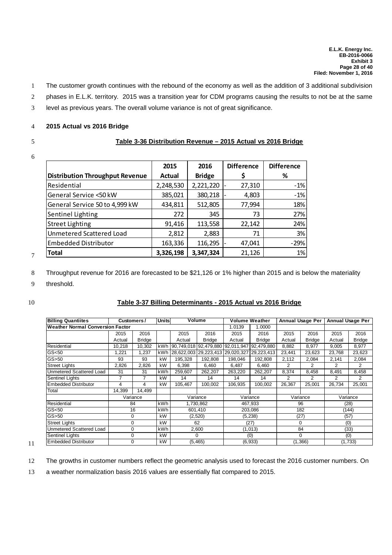- 1 The customer growth continues with the rebound of the economy as well as the addition of 3 additional subdivision
- 2 phases in E.L.K. territory. 2015 was a transition year for CDM programs causing the results to not be at the same
- 3 level as previous years. The overall volume variance is not of great significance.

#### 4 **2015 Actual vs 2016 Bridge**

# 6

## 5 **Table 3-36 Distribution Revenue – 2015 Actual vs 2016 Bridge**

|                                        | 2015      | 2016          | <b>Difference</b> | <b>Difference</b> |
|----------------------------------------|-----------|---------------|-------------------|-------------------|
| <b>Distribution Throughput Revenue</b> | Actual    | <b>Bridge</b> | Ś                 | %                 |
| Residential                            | 2,248,530 | 2,221,220     | 27,310            | $-1%$             |
| General Service <50 kW                 | 385,021   | 380,218       | 4,803             | $-1%$             |
| General Service 50 to 4,999 kW         | 434,811   | 512,805       | 77,994            | 18%               |
| Sentinel Lighting                      | 272       | 345           | 73                | 27%               |
| <b>Street Lighting</b>                 | 91,416    | 113,558       | 22,142            | 24%               |
| Unmetered Scattered Load               | 2,812     | 2,883         | 71                | 3%                |
| <b>Embedded Distributor</b>            | 163,336   | 116,295       | 47,041            | $-29%$            |
| <b>Total</b>                           | 3,326,198 | 3,347,324     | 21,126            | 1%                |

8 Throughput revenue for 2016 are forecasted to be \$21,126 or 1% higher than 2015 and is below the materiality

9 threshold.

7

#### 10 **Table 3-37 Billing Determinants - 2015 Actual vs 2016 Bridge**

| <b>Billing Quantiites</b>        |        | Customers/    | Unitsl     |         | Volume                |                                  | <b>Volume Weather</b> |                | <b>Annual Usage Per</b> |          | <b>Annual Usage Per</b> |
|----------------------------------|--------|---------------|------------|---------|-----------------------|----------------------------------|-----------------------|----------------|-------------------------|----------|-------------------------|
| Weather Normal Conversion Factor |        |               |            |         |                       | 1.0139                           | 1.0000                |                |                         |          |                         |
|                                  | 2015   | 2016          |            | 2015    | 2016                  | 2015                             | 2016                  | 2015           | 2016                    | 2015     | 2016                    |
|                                  | Actual | <b>Bridge</b> |            | Actual  | <b>Bridge</b>         | Actual                           | <b>Bridge</b>         | Actual         | <b>Bridge</b>           | Actual   | <b>Bridge</b>           |
| Residential                      | 10,218 | 10,302        | kWh        |         |                       | 90,749,018 92,479,880 92,011,947 | 92,479,880            | 8,882          | 8,977                   | 9,005    | 8,977                   |
| GS < 50                          | 1,221  | 1,237         | kWh        |         | 28,622,003 29,223,413 | 29,020,327                       | 29,223,413            | 23,441         | 23,623                  | 23,768   | 23,623                  |
| GS > 50                          | 93     | 93            | kW         | 195,328 | 192,808               | 198,046                          | 192,808               | 2,112          | 2,084                   | 2,141    | 2,084                   |
| <b>Street Lights</b>             | 2,826  | 2,826         | kW         | 6,398   | 6,460                 | 6,487                            | 6,460                 | 2              | 2                       |          | 2                       |
| Unmetered Scattered Load         | 31     | 31            | kWh        | 259,607 | 262,207               | 263,220                          | 262,207               | 8,374<br>8,458 |                         | 8,491    | 8,458                   |
| <b>Sentinel Lights</b>           | 7      | 7             | kW         | 14      | 14                    | 14                               | 14                    | 2              | 2                       |          | 2                       |
| <b>Embedded Distributor</b>      | 4      | 4             | kW         | 105.467 | 100.002               | 106.935                          | 100.002               | 26,367         | 25.001                  | 26.734   | 25,001                  |
| Total                            | 14,399 | 14,499        |            |         |                       |                                  |                       |                |                         |          |                         |
|                                  |        | Variance      |            |         | Variance              |                                  | Variance              |                | Variance                | Variance |                         |
| Residential                      |        | 84            | kWh        |         | 1,730,862             |                                  | 467,933               |                | 96                      |          | (28)                    |
| GS < 50                          |        | 16            | <b>kWh</b> |         | 601,410               |                                  | 203,086               |                | 182                     |          | (144)                   |
| GS > 50                          |        | 0             | kW         |         | (2,520)               | (27)<br>(5,238)                  |                       | (57)           |                         |          |                         |
| <b>Street Lights</b>             |        | $\Omega$      | kW         |         | 62                    |                                  | (27)                  |                | $\Omega$                | (0)      |                         |
| Unmetered Scattered Load         |        | 0             | kWh        | 2,600   |                       |                                  | (1,013)               | 84             |                         |          | (33)                    |
| <b>Sentinel Lights</b>           |        | 0             | kW         |         | 0                     |                                  | (0)                   | 0              |                         | (0)      |                         |
| Embedded Distributor             |        |               | kW         |         | (5, 465)              |                                  | (6,933)               | (1,366)        |                         | (1,733)  |                         |

11

12 The growths in customer numbers reflect the geometric analysis used to forecast the 2016 customer numbers. On

13 a weather normalization basis 2016 values are essentially flat compared to 2015.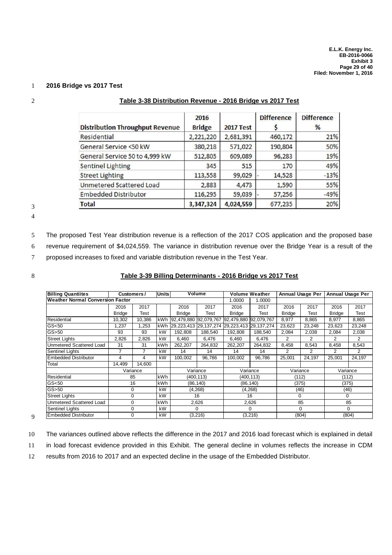#### 1 **2016 Bridge vs 2017 Test**

|                                        | 2016          |                  | <b>Difference</b> | <b>Difference</b> |
|----------------------------------------|---------------|------------------|-------------------|-------------------|
| <b>Distribution Throughput Revenue</b> | <b>Bridge</b> | <b>2017 Test</b> |                   | %                 |
| <b>Residential</b>                     | 2,221,220     | 2,681,391        | 460,172           | 21%               |
| General Service <50 kW                 | 380,218       | 571,022          | 190,804           | 50%               |
| General Service 50 to 4,999 kW         | 512,805       | 609,089          | 96,283            | 19%               |
| <b>Sentinel Lighting</b>               | 345           | 515              | 170               | 49%               |
| <b>Street Lighting</b>                 | 113,558       | 99,029           | 14,528            | $-13%$            |
| <b>Unmetered Scattered Load</b>        | 2,883         | 4,473            | 1,590             | 55%               |
| <b>Embedded Distributor</b>            | 116,295       | 59,039           | 57,256            | $-49%$            |
| <b>Total</b>                           | 3,347,324     | 4,024,559        | 677,235           | 20%               |

#### 2 **Table 3-38 Distribution Revenue - 2016 Bridge vs 2017 Test**

3

4

5 The proposed Test Year distribution revenue is a reflection of the 2017 COS application and the proposed base 6 revenue requirement of \$4,024,559. The variance in distribution revenue over the Bridge Year is a result of the 7 proposed increases to fixed and variable distribution revenue in the Test Year.

#### 8 **Table 3-39 Billing Determinants - 2016 Bridge vs 2017 Test**

| <b>Billing Quantiites</b>               | Customers /   |          | lUnits l   |                           | Volume    |                       | <b>Volume Weather</b> |               | <b>Annual Usage Per</b> | <b>Annual Usage Per</b> |                |
|-----------------------------------------|---------------|----------|------------|---------------------------|-----------|-----------------------|-----------------------|---------------|-------------------------|-------------------------|----------------|
| <b>Weather Normal Conversion Factor</b> |               |          |            |                           |           | 1.0000                | 1.0000                |               |                         |                         |                |
|                                         | 2016          | 2017     |            | 2016                      | 2017      | 2016                  | 2017                  | 2016          | 2017                    | 2016                    | 2017           |
|                                         | <b>Bridge</b> | Test     |            | <b>Bridge</b>             | Test      | <b>Bridge</b>         | Test                  | <b>Bridge</b> | Test                    | <b>Bridge</b>           | Test           |
| Residential                             | 10,302        | 10,386   | kWh        | 92,479,880 92,079,767     |           | 92,479,880 92,079,767 |                       | 8,977         | 8,865                   | 8,977                   | 8,865          |
| GS <sub>50</sub>                        | 1,237         | 1,253    | kWh        | 29, 223, 413 29, 137, 274 |           | 29,223,413            | 29, 137, 274          | 23,623        | 23,248                  | 23,623                  | 23,248         |
| $GS$ > 50                               | 93            | 93       | kW         | 192,808                   | 188,540   | 192,808               | 188,540               | 2,084         | 2,038                   | 2,084                   | 2,038          |
| <b>Street Lights</b>                    | 2,826         | 2,826    | kW         | 6.460                     | 6.476     | 6,460                 | 6,476                 | 2<br>2        |                         | 2                       | $\overline{2}$ |
| Unmetered Scattered Load                | 31            | 31       | kWh        | 262,207                   | 264,832   | 262,207               | 264,832               | 8,458         | 8,543                   |                         | 8,543          |
| <b>Sentinel Lights</b>                  | 7             | 7        | kW         | 14                        | 14        | 14                    | 14                    | 2             | 2                       |                         | 2              |
| <b>Embedded Distributor</b>             | 4             | 4        | kW         | 100,002                   | 96,786    | 100,002               | 96,786                | 25,001        | 24,197                  | 25,001                  | 24,197         |
| Total                                   | 14,499        | 14.600   |            |                           |           |                       |                       |               |                         |                         |                |
|                                         |               | Variance |            |                           | Variance  |                       | Variance              | Variance      |                         | Variance                |                |
| Residential                             |               | 85       | kWh        |                           | (400,113) |                       | (400,113)             | (112)         |                         | (112)                   |                |
| GS <sub>50</sub>                        |               | 16       | <b>kWh</b> |                           | (86, 140) | (86, 140)             |                       | (375)         |                         | (375)                   |                |
| $GS$ > 50                               | $\mathbf 0$   |          | kW         |                           | (4, 268)  |                       | (4, 268)              |               | (46)                    | (46)                    |                |
| <b>Street Lights</b>                    | 0             |          | kW         |                           | 16        |                       | 16                    | 0             |                         | $\Omega$                |                |
| Unmetered Scattered Load                | 0             |          | kWh        | 2,626                     |           |                       | 2,626                 | 85            |                         | 85                      |                |
| <b>Sentinel Lights</b>                  | $\Omega$      |          | kW         | $\Omega$                  |           |                       | $\Omega$              | $\Omega$      |                         | 0                       |                |
| <b>Embedded Distributor</b>             | $\Omega$      |          | kW         |                           | (3, 216)  |                       | (3, 216)              | (804)         |                         | (804)                   |                |

9

10 The variances outlined above reflects the difference in the 2017 and 2016 load forecast which is explained in detail

11 in load forecast evidence provided in this Exhibit. The general decline in volumes reflects the increase in CDM

12 results from 2016 to 2017 and an expected decline in the usage of the Embedded Distributor.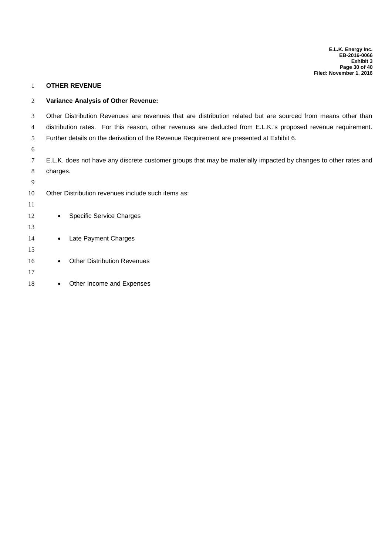#### **OTHER REVENUE**

#### **Variance Analysis of Other Revenue:**

Other Distribution Revenues are revenues that are distribution related but are sourced from means other than

distribution rates. For this reason, other revenues are deducted from E.L.K.'s proposed revenue requirement.

Further details on the derivation of the Revenue Requirement are presented at Exhibit 6.

 E.L.K. does not have any discrete customer groups that may be materially impacted by changes to other rates and charges.

Other Distribution revenues include such items as:

| 11 |                                    |
|----|------------------------------------|
| 12 | Specific Service Charges           |
| 13 |                                    |
| 14 | Late Payment Charges               |
| 15 |                                    |
| 16 | <b>Other Distribution Revenues</b> |
| 17 |                                    |
| 18 | Other Income and Expenses          |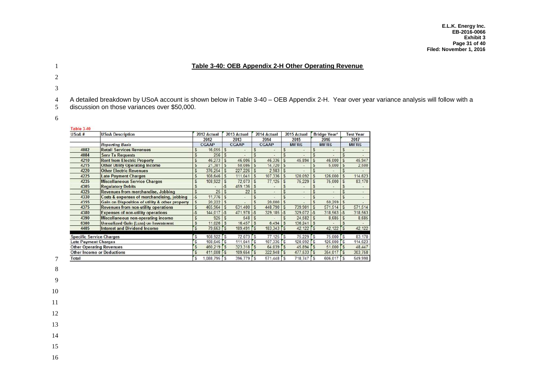#### **Table 3-40: OEB Appendix 2-H Other Operating Revenue**

- 
- 
- 

A detailed breakdown by USoA account is shown below in Table 3-40 – OEB Appendix 2-H. Year over year variance analysis will follow with a

- discussion on those variances over \$50,000.
- 

|  |  |  | Table 3.40 |
|--|--|--|------------|

| USoA#                           | <b>USoA Description</b>                         |               | 2012 Actual  |           | 2013 Actual  |               | 2014 Actual  |              | 2015 Actual    |              | <b>Bridge Year<sup>2</sup></b> |                          | <b>Test Year</b> |
|---------------------------------|-------------------------------------------------|---------------|--------------|-----------|--------------|---------------|--------------|--------------|----------------|--------------|--------------------------------|--------------------------|------------------|
|                                 |                                                 |               | 2012         |           | 2013         |               | 2014         |              | 2015           |              | 2016                           |                          | 2017             |
|                                 | <b>Reporting Basis</b>                          |               | <b>CGAAP</b> |           | <b>CGAAP</b> |               | <b>CGAAP</b> |              | <b>MIFRS</b>   |              | <b>MIFRS</b>                   |                          | <b>MIFRS</b>     |
| 4082                            | <b>Retail Services Revenues</b>                 |               | 16,055       |           |              |               |              |              |                |              |                                |                          |                  |
| 4084                            | <b>Serv Tx Requests</b>                         |               | 256          |           |              |               |              |              |                |              |                                |                          |                  |
| 4210                            | <b>Rent from Electric Property</b>              | S             | 46.273       | S         | 46,006       | S             | 46,336       | S            | 45.894         | S            | 46.000                         | S                        | 45,947           |
| 4215                            | <b>Other Utility Operating Income</b>           | S             | 21.381       | S         | 50,086       | S             | 14,720       | <sub>5</sub> |                |              | 5,000                          | S                        | 2,500            |
| 4220                            | <b>Other Electric Revenues</b>                  | S             | $376.254$ S  |           | 227,226      | S             | 2.983        | <b>S</b>     |                |              |                                |                          |                  |
| 4225                            | <b>Late Payment Charges</b>                     | S             | 108,646      | S         | 111.041      | S             | 107.336      | $\mathsf{s}$ | 120.092        | S            | 126,000                        | S                        | 114,623          |
| 4235                            | <b>Miscellaneous Service Charges</b>            |               | 108,922      |           | 72.073       |               | 77,125       | <b>S</b>     | 75,229         |              | 75,000                         |                          | 83,170           |
| 4305                            | <b>Regulatory Debits</b>                        |               |              |           | 459.136      |               |              |              |                |              |                                |                          |                  |
| 4325                            | <b>Revenues from merchandise, Jobbing</b>       | S             | 25           |           | 22           |               |              |              |                |              |                                |                          |                  |
| 4330                            | Costs & expenses of merchandising, jobbing      | $\mathcal{S}$ | 11,776       | S         |              |               |              |              |                |              |                                |                          |                  |
| 4355                            | Gain on Disposition of utility & other property | S             | 20.222       | s         |              | S             | 20,000       | S            |                |              | 50.259                         | S                        |                  |
| 4375                            | <b>Revenues from non-utility operations</b>     | S             | 465,964      | $\vert s$ | 631,400      | S             | 448.790      | S            | 739.901        | l s          | 571,514                        | S                        | 571,514          |
| 4380                            | <b>Expenses of non-utility operations</b>       |               | $144.017$ -S |           | 471.978      | $\sim$        | 329,185      | $-5$         | 329.072 -S     |              | 318,563                        | $\overline{\mathcal{S}}$ | 318,563          |
| 4390                            | <b>Miscellaneous non-operating income</b>       | S             | 925          |           | 548          |               |              |              | $24.582$ \$    |              | 8,685                          |                          | 8,685            |
| 6300                            | <b>Unrealized Gain (Loss) on Investment</b>     | S             | 11.026       | S         | 16.457       | S             | 6.494        | $\mathbf{S}$ | $136.241$ \ \$ |              |                                |                          |                  |
| 4405                            | <b>Interest and Dividend Income</b>             | S             | $79,663$ $S$ |           | 189,491 5    |               | $183,343$ 5  |              | $42,122$ S     |              | 42,122                         | rs                       | 42,122           |
| <b>Specific Service Charges</b> |                                                 | S             | 108.922 S    |           | 72.073 S     |               | $77.125$ S   |              | 75,229 S       |              | 75,000 S                       |                          | 83,170           |
| <b>Late Payment Charges</b>     |                                                 | S             | 108,646 S    |           | 111,041      | $\mathsf{rs}$ | $107.336$ \$ |              | $120.092$ S    |              | 126,000 \$                     |                          | 114,623          |
|                                 | <b>Other Operating Revenues</b>                 | S             | 460.219 5    |           | 323,318      | $\mathsf{rs}$ | 64.039 S     |              | 45.894         | $\mathsf{S}$ | $51,000$ S                     |                          | 48.447           |
|                                 | <b>Other Income or Deductions</b>               | S             | 411,008 -S   |           | 109,654 5    |               | $322.948$ S  |              | 477,533 5      |              | 354,017 S                      |                          | 303.758          |
| Total                           |                                                 | s             | $.088.795$ S |           | $396.779$ S  |               | $571.448$ S  |              | 718,747 5      |              | 606.017                        | ſs.                      | 549,998          |

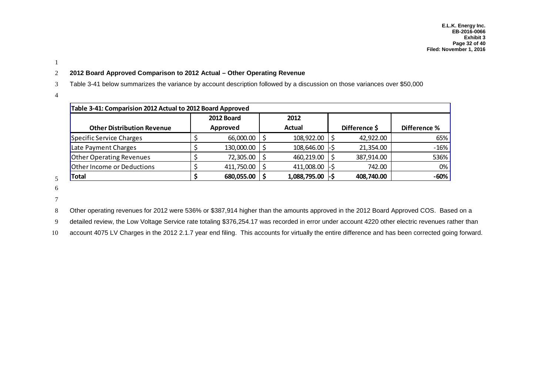#### 1

#### 2 **2012 Board Approved Comparison to 2012 Actual – Other Operating Revenue**

3 Table 3-41 below summarizes the variance by account description followed by a discussion on those variances over \$50,000

4

|                                   | Table 3-41: Comparision 2012 Actual to 2012 Board Approved |            |  |              |  |               |              |  |  |  |  |  |
|-----------------------------------|------------------------------------------------------------|------------|--|--------------|--|---------------|--------------|--|--|--|--|--|
|                                   |                                                            | 2012 Board |  | 2012         |  |               |              |  |  |  |  |  |
| <b>Other Distribution Revenue</b> |                                                            | Approved   |  | Actual       |  | Difference \$ | Difference % |  |  |  |  |  |
| Specific Service Charges          |                                                            | 66,000.00  |  | 108,922.00   |  | 42,922.00     | 65%          |  |  |  |  |  |
| Late Payment Charges              |                                                            | 130,000.00 |  | 108,646.00   |  | 21,354.00     | $-16%$       |  |  |  |  |  |
| <b>Other Operating Revenues</b>   |                                                            | 72,305.00  |  | 460,219.00   |  | 387,914.00    | 536%         |  |  |  |  |  |
| Other Income or Deductions        |                                                            | 411,750.00 |  | 411,008.00   |  | 742.00        | 0%           |  |  |  |  |  |
| Total                             |                                                            | 680,055.00 |  | 1,088,795.00 |  | 408,740.00    | $-60%$       |  |  |  |  |  |

5 6

7

8 Other operating revenues for 2012 were 536% or \$387,914 higher than the amounts approved in the 2012 Board Approved COS. Based on a

9 detailed review, the Low Voltage Service rate totaling \$376,254.17 was recorded in error under account 4220 other electric revenues rather than

10 account 4075 LV Charges in the 2012 2.1.7 year end filing. This accounts for virtually the entire difference and has been corrected going forward.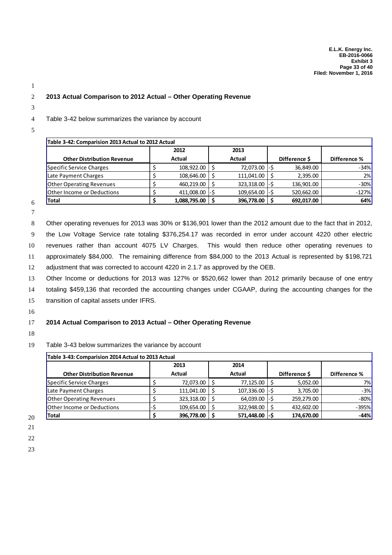#### 2 **2013 Actual Comparison to 2012 Actual – Other Operating Revenue**

3

1

#### 4 Table 3-42 below summarizes the variance by account

5

|                                   | Table 3-42: Comparision 2013 Actual to 2012 Actual |                  |  |                |  |               |              |  |  |  |  |  |
|-----------------------------------|----------------------------------------------------|------------------|--|----------------|--|---------------|--------------|--|--|--|--|--|
|                                   |                                                    | 2012             |  | 2013           |  |               |              |  |  |  |  |  |
| <b>Other Distribution Revenue</b> |                                                    | Actual           |  | Actual         |  | Difference \$ | Difference % |  |  |  |  |  |
| Specific Service Charges          |                                                    | 108,922.00 \$    |  | 72,073.00 - \$ |  | 36,849.00     | $-34%$       |  |  |  |  |  |
| Late Payment Charges              |                                                    | 108,646.00       |  | 111,041.00     |  | 2,395.00      | 2%           |  |  |  |  |  |
| <b>Other Operating Revenues</b>   |                                                    | 460,219.00       |  | 323,318.00     |  | 136,901.00    | $-30\%$      |  |  |  |  |  |
| <b>Other Income or Deductions</b> |                                                    | $411,008.00$ -\$ |  | 109,654.00     |  | 520,662.00    | $-127%$      |  |  |  |  |  |
| <b>Total</b>                      |                                                    | 1,088,795.00 \$  |  | 396,778.00     |  | 692,017.00    | 64%          |  |  |  |  |  |

6 7

8 Other operating revenues for 2013 was 30% or \$136,901 lower than the 2012 amount due to the fact that in 2012,

 the Low Voltage Service rate totaling \$376,254.17 was recorded in error under account 4220 other electric revenues rather than account 4075 LV Charges. This would then reduce other operating revenues to approximately \$84,000. The remaining difference from \$84,000 to the 2013 Actual is represented by \$198,721 adjustment that was corrected to account 4220 in 2.1.7 as approved by the OEB.

13 Other Income or deductions for 2013 was 127% or \$520,662 lower than 2012 primarily because of one entry

14 totaling \$459,136 that recorded the accounting changes under CGAAP, during the accounting changes for the

15 transition of capital assets under IFRS.

16

## 17 **2014 Actual Comparison to 2013 Actual – Other Operating Revenue**

18

19 Table 3-43 below summarizes the variance by account

|                                   | 2013       | 2014            |              |              |
|-----------------------------------|------------|-----------------|--------------|--------------|
| <b>Other Distribution Revenue</b> | Actual     | Actual          | Difference S | Difference % |
| Specific Service Charges          | 72,073.00  | 77,125.00       | 5,052.00     | 7%           |
| Late Payment Charges              | 111,041.00 | 107,336.00 - \$ | 3,705.00     | $-3%$        |
| <b>Other Operating Revenues</b>   | 323,318.00 | $64,039.00$ -\$ | 259,279.00   | $-80%$       |
| <b>Other Income or Deductions</b> | 109.654.00 | 322,948.00      | 432,602.00   | $-395%$      |
| <b>Total</b>                      | 396,778.00 | 571,448.00 -\$  | 174,670.00   | $-44%$       |

- 20 21
- 22 23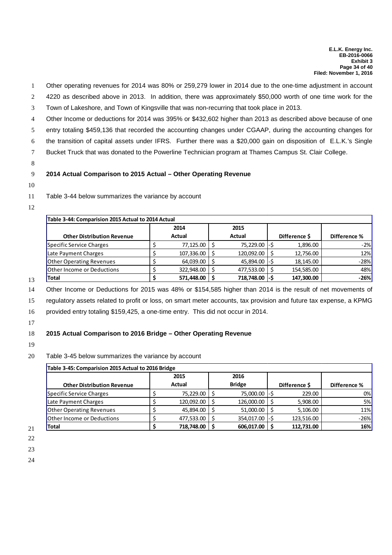- 1 Other operating revenues for 2014 was 80% or 259,279 lower in 2014 due to the one-time adjustment in account
- 2 4220 as described above in 2013. In addition, there was approximately \$50,000 worth of one time work for the
- 3 Town of Lakeshore, and Town of Kingsville that was non-recurring that took place in 2013.
- 4 Other Income or deductions for 2014 was 395% or \$432,602 higher than 2013 as described above because of one

5 entry totaling \$459,136 that recorded the accounting changes under CGAAP, during the accounting changes for

- 6 the transition of capital assets under IFRS. Further there was a \$20,000 gain on disposition of E.L.K.'s Single
- 7 Bucket Truck that was donated to the Powerline Technician program at Thames Campus St. Clair College.
- 8

#### 9 **2014 Actual Comparison to 2015 Actual – Other Operating Revenue**

10

#### 11 Table 3-44 below summarizes the variance by account

12

| Table 3-44: Comparision 2015 Actual to 2014 Actual |        |            |      |                |      |               |              |  |  |  |
|----------------------------------------------------|--------|------------|------|----------------|------|---------------|--------------|--|--|--|
|                                                    |        | 2014       | 2015 |                |      |               |              |  |  |  |
| <b>Other Distribution Revenue</b>                  | Actual |            |      | Actual         |      | Difference \$ | Difference % |  |  |  |
| Specific Service Charges                           |        | 77,125.00  |      | 75,229.00 - \$ |      | 1,896.00      | $-2\%$       |  |  |  |
| Late Payment Charges                               |        | 107,336.00 |      | 120,092.00     |      | 12,756.00     | 12%          |  |  |  |
| <b>Other Operating Revenues</b>                    |        | 64,039.00  |      | 45,894.00 - \$ |      | 18,145.00     | $-28%$       |  |  |  |
| <b>Other Income or Deductions</b>                  |        | 322,948.00 |      | 477,533.00     |      | 154,585.00    | 48%          |  |  |  |
| <b>Total</b>                                       |        | 571,448.00 |      | 718,748.00     | -l-S | 147,300.00    | $-26%$       |  |  |  |

13

14 Other Income or Deductions for 2015 was 48% or \$154,585 higher than 2014 is the result of net movements of 15 regulatory assets related to profit or loss, on smart meter accounts, tax provision and future tax expense, a KPMG

16 provided entry totaling \$159,425, a one-time entry. This did not occur in 2014.

17

## 18 **2015 Actual Comparison to 2016 Bridge – Other Operating Revenue**

19

#### 20 Table 3-45 below summarizes the variance by account

| Table 3-45: Comparision 2015 Actual to 2016 Bridge |        |              |               |               |               |            |              |  |  |
|----------------------------------------------------|--------|--------------|---------------|---------------|---------------|------------|--------------|--|--|
|                                                    |        | 2016<br>2015 |               |               |               |            |              |  |  |
| <b>Other Distribution Revenue</b>                  | Actual |              | <b>Bridge</b> |               | Difference \$ |            | Difference % |  |  |
| Specific Service Charges                           |        | 75,229.00    |               | 75,000.00 -\$ |               | 229.00     | 0%           |  |  |
| Late Payment Charges                               |        | 120,092.00   |               | 126,000.00    |               | 5,908.00   | 5%           |  |  |
| <b>Other Operating Revenues</b>                    |        | 45,894.00    |               | 51,000.00     |               | 5,106.00   | <b>11%</b>   |  |  |
| <b>Other Income or Deductions</b>                  |        | 477,533.00   |               | 354,017.00    | I-S           | 123,516.00 | $-26%$       |  |  |
| <b>Total</b>                                       |        | 718,748.00   |               | 606.017.00    |               | 112,731.00 | 16%          |  |  |

21 22

23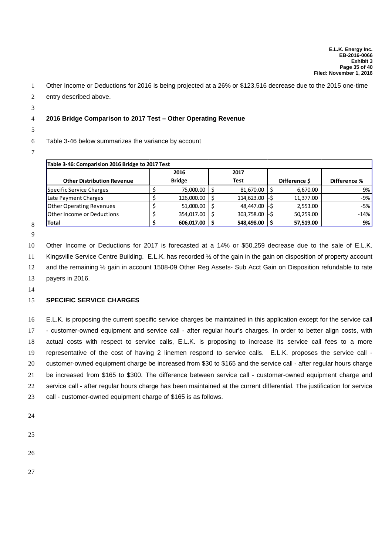- Other Income or Deductions for 2016 is being projected at a 26% or \$123,516 decrease due to the 2015 one-time
- entry described above.
- 

## **2016 Bridge Comparison to 2017 Test – Other Operating Revenue**

## Table 3-46 below summarizes the variance by account

| Table 3-46: Comparision 2016 Bridge to 2017 Test |  |               |      |             |    |               |              |  |  |  |
|--------------------------------------------------|--|---------------|------|-------------|----|---------------|--------------|--|--|--|
|                                                  |  | 2016          | 2017 |             |    |               |              |  |  |  |
| <b>Other Distribution Revenue</b>                |  | <b>Bridge</b> |      | <b>Test</b> |    | Difference \$ | Difference % |  |  |  |
| Specific Service Charges                         |  | 75,000.00     |      | 81,670.00   |    | 6,670.00      | 9%           |  |  |  |
| Late Payment Charges                             |  | 126,000.00    |      | 114,623.00  | ЪS | 11,377.00     | -9%          |  |  |  |
| <b>Other Operating Revenues</b>                  |  | 51,000.00     |      | 48.447.00   |    | 2,553.00      | -5%          |  |  |  |
| <b>Other Income or Deductions</b>                |  | 354,017.00    |      | 303,758.00  |    | 50,259.00     | $-14%$       |  |  |  |
| Total                                            |  | 606,017.00    |      | 548,498.00  |    | 57,519.00     | 9%           |  |  |  |

 

 Other Income or Deductions for 2017 is forecasted at a 14% or \$50,259 decrease due to the sale of E.L.K. 11 Kingsville Service Centre Building. E.L.K. has recorded 1/2 of the gain in the gain on disposition of property account 12 and the remaining  $\frac{1}{2}$  gain in account 1508-09 Other Reg Assets- Sub Acct Gain on Disposition refundable to rate payers in 2016.

## **SPECIFIC SERVICE CHARGES**

 E.L.K. is proposing the current specific service charges be maintained in this application except for the service call - customer-owned equipment and service call - after regular hour's charges. In order to better align costs, with actual costs with respect to service calls, E.L.K. is proposing to increase its service call fees to a more representative of the cost of having 2 linemen respond to service calls. E.L.K. proposes the service call - customer-owned equipment charge be increased from \$30 to \$165 and the service call - after regular hours charge be increased from \$165 to \$300. The difference between service call - customer-owned equipment charge and service call - after regular hours charge has been maintained at the current differential. The justification for service call - customer-owned equipment charge of \$165 is as follows.

- 
- 
- 
-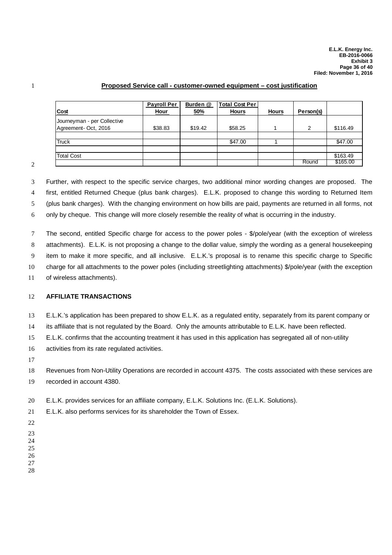#### **Proposed Service call - customer-owned equipment – cost justification**

| <u>Cost</u>                                        | <b>Payroll Per</b><br><u>Hour</u> | Burden @<br><u>50%</u> | <b>Total Cost Per</b><br><b>Hours</b> | <b>Hours</b> | Person(s) |          |
|----------------------------------------------------|-----------------------------------|------------------------|---------------------------------------|--------------|-----------|----------|
| Journeyman - per Collective<br>Agreement-Oct, 2016 | \$38.83                           | \$19.42                | \$58.25                               |              | 2         | \$116.49 |
| Truck                                              |                                   |                        | \$47.00                               |              |           | \$47.00  |
| <b>Total Cost</b>                                  |                                   |                        |                                       |              |           | \$163.49 |
|                                                    |                                   |                        |                                       |              | Round     | \$165.00 |

 Further, with respect to the specific service charges, two additional minor wording changes are proposed. The first, entitled Returned Cheque (plus bank charges). E.L.K. proposed to change this wording to Returned Item (plus bank charges). With the changing environment on how bills are paid, payments are returned in all forms, not

only by cheque. This change will more closely resemble the reality of what is occurring in the industry.

 The second, entitled Specific charge for access to the power poles - \$/pole/year (with the exception of wireless attachments). E.L.K. is not proposing a change to the dollar value, simply the wording as a general housekeeping item to make it more specific, and all inclusive. E.L.K.'s proposal is to rename this specific charge to Specific charge for all attachments to the power poles (including streetlighting attachments) \$/pole/year (with the exception of wireless attachments).

#### **AFFILIATE TRANSACTIONS**

E.L.K.'s application has been prepared to show E.L.K. as a regulated entity, separately from its parent company or

its affiliate that is not regulated by the Board. Only the amounts attributable to E.L.K. have been reflected.

E.L.K. confirms that the accounting treatment it has used in this application has segregated all of non-utility

activities from its rate regulated activities.

 Revenues from Non-Utility Operations are recorded in account 4375. The costs associated with these services are recorded in account 4380.

E.L.K. provides services for an affiliate company, E.L.K. Solutions Inc. (E.L.K. Solutions).

E.L.K. also performs services for its shareholder the Town of Essex.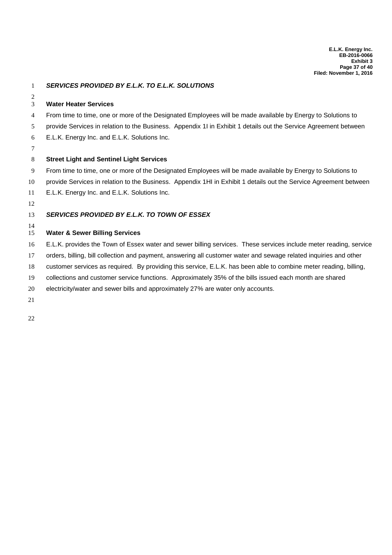- **Water Heater Services** From time to time, one or more of the Designated Employees will be made available by Energy to Solutions to provide Services in relation to the Business. Appendix 1I in Exhibit 1 details out the Service Agreement between E.L.K. Energy Inc. and E.L.K. Solutions Inc. **Street Light and Sentinel Light Services** From time to time, one or more of the Designated Employees will be made available by Energy to Solutions to provide Services in relation to the Business. Appendix 1HI in Exhibit 1 details out the Service Agreement between E.L.K. Energy Inc. and E.L.K. Solutions Inc. *SERVICES PROVIDED BY E.L.K. TO TOWN OF ESSEX* **Water & Sewer Billing Services** E.L.K. provides the Town of Essex water and sewer billing services. These services include meter reading, service orders, billing, bill collection and payment, answering all customer water and sewage related inquiries and other customer services as required. By providing this service, E.L.K. has been able to combine meter reading, billing, collections and customer service functions. Approximately 35% of the bills issued each month are shared
- electricity/water and sewer bills and approximately 27% are water only accounts.

# *SERVICES PROVIDED BY E.L.K. TO E.L.K. SOLUTIONS*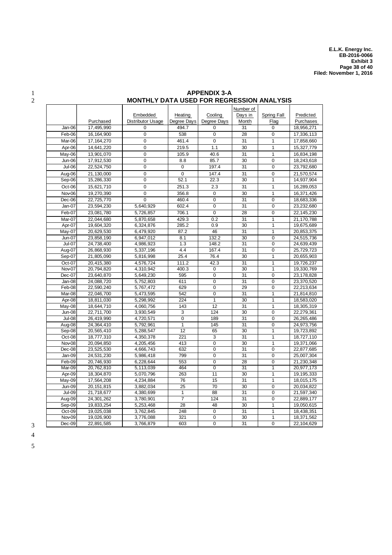|                      |                            | MUNTHLI DATA USED FUN NEGNESSIUN ANALISIS |                   |                                  |                       |                                  |                          |
|----------------------|----------------------------|-------------------------------------------|-------------------|----------------------------------|-----------------------|----------------------------------|--------------------------|
|                      |                            |                                           |                   |                                  | Number of             |                                  |                          |
|                      |                            | Embedded                                  | Heating           | Cooling                          | Days in               | Spring Fall                      | Predicted                |
|                      | Purchased                  | <b>Distributor Usage</b>                  | Degree Days       | Degree Days                      | Month                 | Flag                             | Purchases                |
| Jan-06               | 17,495,990                 | 0                                         | 494.7             | $\Omega$                         | 31                    | 0                                | 18,956,271               |
| Feb-06               | 16, 164, 900               | $\mathbf 0$                               | 538               | $\pmb{0}$                        | 28                    | $\mathbf 0$                      | 17,336,113               |
| Mar-06               | 17, 164, 270               | 0                                         | 461.4             | $\mathbf 0$                      | 31                    | 1                                | 17,858,660               |
| Apr-06               | 14,641,220                 | $\mathbf 0$                               | 219.5             | 1.1                              | 30                    | $\mathbf{1}$                     | 15,327,779               |
| May-06               | 13,901,070                 | $\mathbf 0$                               | 105.9             | 40.6                             | 31                    | $\mathbf{1}$                     | 16,834,198               |
| Jun-06               | 17,912,530                 | 0                                         | 8.8               | 85.7                             | 30                    | $\mathbf 0$                      | 18,243,618               |
| Jul-06               | 22,524,750                 | $\mathbf 0$                               | $\mathbf 0$       | 197.4                            | 31                    | $\overline{0}$                   | 23,792,680               |
| Aug-06               | 21,130,000                 | $\overline{0}$                            | $\mathbf 0$       | 147.4                            | 31                    | $\mathbf 0$                      | 21,570,574               |
| Sep-06               | 15,286,330                 | $\overline{0}$                            | 52.1              | 22.3                             | 30                    | $\mathbf{1}$                     | 14,937,904               |
| Oct-06               | 15,621,710                 | $\mathbf 0$                               | 251.3             | 2.3                              | 31                    | $\mathbf{1}$                     | 16,289,053               |
| Nov-06               | 19,270,390                 | $\mathbf 0$                               | 356.8             | $\mathbf 0$                      | 30                    | $\mathbf{1}$                     | 16,371,426               |
| Dec-06               | 22,725,770                 | $\mathbf 0$                               | 460.4             | $\mathbf 0$                      | 31                    | $\Omega$                         | 18,683,336               |
| Jan-07               | 23,594,230                 | 5,640,929                                 | 602.4             | $\overline{0}$                   | 31                    | $\overline{0}$                   | 23,232,680               |
| $\overline{Fe}$ b-07 | 23,081,780                 | 5,726,857                                 | 706.1             | $\overline{0}$                   | 28                    | $\mathbf 0$                      | 22,145,230               |
| Mar-07               | 22,044,680                 | 5,870,658                                 | 429.3             | 0.2                              | 31                    | $\overline{1}$                   | 21,170,788               |
| Apr-07               | 19,604,320                 | 6,324,876                                 | 285.2             | 0.9                              | 30                    | $\overline{1}$                   | 19,675,689               |
| May-07               | 20,629,530                 | 6,479,920                                 | 87.2              | 46                               | 31                    | 1                                | 20,853,375               |
| Jun-07               | 23,858,190                 | 6,947,012                                 | 8.1               | 132.2                            | 30                    | $\mathbf 0$                      | 24,515,736               |
| $Jul-07$             | 24,738,400                 | 4,986,923                                 | 1.3               | 148.2                            | 31                    | $\overline{0}$                   | 24,639,439               |
| Aug-07               | 26,868,930                 | 5,337,196                                 | 4.4               | 167.4                            | 31                    | $\overline{0}$                   | 25,729,723               |
| Sep-07               | 21,805,090                 | 5,816,998                                 | $\overline{2}5.4$ | 76.4                             | 30                    | $\mathbf{1}$                     | 20,655,903               |
| Oct-07               | 20,415,380                 | 4,576,724                                 | 111.2             | 42.3                             | $\overline{31}$       | $\overline{1}$                   | 19,726,237               |
| Nov-07               | 20,794,820                 | 4,310,942                                 | 400.3             | $\mathbf 0$                      | 30                    | $\overline{1}$                   | 19,330,769               |
| Dec-07               | 23,640,870                 | 5,649,230                                 | 595               | 0                                | 31                    | $\mathbf 0$                      | 23,178,828               |
| $\overline{J}$ an-08 | 24,088,720                 | 5,752,803                                 | 611               | $\mathbf 0$                      | 31                    | $\mathbf 0$                      | 23,370,520               |
| Feb-08               | 22,590,240                 | 5,767,472                                 | 629               | $\pmb{0}$                        | 29                    | $\pmb{0}$                        | 22,213,634               |
| Mar-08               | 22,046,700                 | 5,473,595                                 | 542               | $\overline{0}$                   | $\overline{31}$       | 1                                | 21,814,810               |
| Apr-08               | 18,811,030                 | 5,298,992                                 | 224               | $\mathbf{1}$                     | 30                    | $\mathbf{1}$                     | 18,583,020               |
| May-08               | 18,644,710                 | 4,060,756                                 | 143               | 12                               | 31                    | $\mathbf{1}$                     | 18,305,319               |
| Jun-08               | $\overline{22}$ , 711, 700 | 3,930,549                                 | 3                 | 124                              | 30                    | $\mathbf 0$                      | 22,279,361               |
| <b>Jul-08</b>        | 26,419,990                 | 4,720,571                                 | $\overline{0}$    | 189                              | 31                    | $\overline{0}$                   | 26,265,486               |
| Aug-08               | 24,364,410                 | 5,792,961                                 | 1                 | 145                              | 31                    | 0                                | 24,973,756               |
| Sep-08               | 20,565,410                 | 5,288,547                                 | 12                | 65                               | 30                    | $\mathbf{1}$                     | 19,723,892               |
| Oct-08               | 18,777,310                 | 4,350,378                                 | $\overline{221}$  | 3                                | $\overline{31}$       | 1                                | 18,727,110               |
| Nov-08               | 20,094,850                 | 4,205,456                                 | 413               | $\overline{0}$                   | 30                    | $\overline{1}$                   | 19,371,066               |
| Dec-08               | 23,525,530                 | 4,666,743                                 | 632               | $\mathbf 0$                      | 31                    | $\mathbf 0$                      | 22,877,685               |
| Jan-09               | 24.531.230                 | 5,986,418                                 | 799               | 0                                | 31                    | $\Omega$                         | 25,007,304               |
| Feb-09               | 20,746,930                 | 6,228,644                                 | 553               | $\pmb{0}$                        | 28                    | 0                                | 21,230,348               |
| Mar-09               | 20,762,810                 | 5,113,039                                 | 464               | $\overline{0}$                   | 31                    | $\mathbf{1}$                     | 20,977,173               |
| Apr-09               | 18,304,870                 | 5,070,796                                 | 263               | 11                               | 30                    | 1                                | 19,195,333               |
| $\overline{M}$ ay-09 | 17.564.208                 | 4.234.884                                 | 76                | 15                               | 31                    | $\overline{1}$                   | 18,015,175               |
| <b>Jun-09</b>        | 20, 151, 815               | 3,882,034                                 | $\overline{25}$   | 70                               | 30                    | $\mathbf 0$                      | 20,034,822               |
| <b>Jul-09</b>        | 21,718,677                 | 4,380,699                                 | 1                 | 88                               | 31                    | $\overline{0}$                   | 21,597,340               |
| Aug-09               | 24,301,262                 | 3,780,901                                 | $\overline{7}$    | 124                              | 31                    | $\mathbf 0$                      | 22,889,177               |
| Sep-09               | 19,833,254                 | 5,253,468                                 | 28                | 48                               | 30                    | 1                                | 19,050,615               |
| Oct-09               | 19,025,038<br>19,026,900   | 3,762,845<br>3,776,088                    | 248<br>321        | $\overline{0}$<br>$\overline{0}$ | $\overline{31}$<br>30 | $\overline{1}$<br>$\overline{1}$ | 18,438,351<br>18,371,562 |
| Nov-09               |                            |                                           | 603               | $\mathbf 0$                      | 31                    | $\mathbf 0$                      |                          |
| Dec-09               | 22,891,585                 | 3,766,879                                 |                   |                                  |                       |                                  | 22,104,629               |

#### 1 **APPENDIX 3-A**<br>2 **MONTHLY DATA USED FOR REGR** 2 **MONTHLY DATA USED FOR REGRESSION ANALYSIS**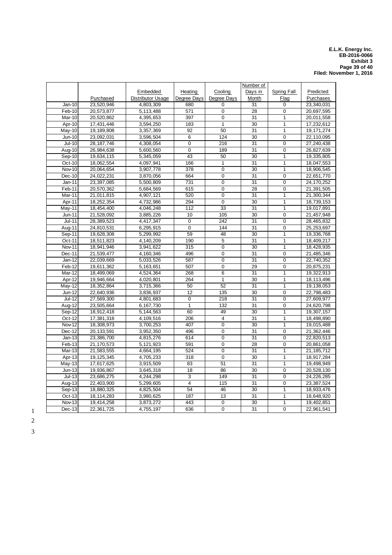#### **E.L.K. Energy Inc. EB-2016-0066 Exhibit 3 Page 39 of 40 Filed: November 1, 2016**

|               |              | Embedded                  | Heating          | Cooling          | Number of<br>Days in | Spring Fall    | Predicted    |
|---------------|--------------|---------------------------|------------------|------------------|----------------------|----------------|--------------|
|               | Purchased    | <b>Distributor Usage</b>  | Degree Days      | Degree Days      | Month                | Flag           | Purchases    |
| $Jan-10$      | 23,520,946   | 4,803,309                 | 680              | $\mathbf 0$      | 31                   | 0              | 23,340,031   |
| Feb-10        | 20,573,877   | 5,113,488                 | 571              | $\mathbf 0$      | $\overline{28}$      | 0              | 20,697,595   |
| Mar-10        | 20,520,862   | 4,395,653                 | 397              | $\overline{0}$   | $\overline{31}$      | $\mathbf{1}$   | 20,011,558   |
| Apr-10        | 17,431,446   | 3,594,250                 | 183              | $\overline{1}$   | 30                   | $\mathbf{1}$   | 17,232,612   |
| May-10        | 19,189,808   | 3,357,369                 | 92               | 50               | 31                   | $\mathbf{1}$   | 19, 171, 274 |
| $Jun-10$      | 23,092,031   | 3,596,504                 | 6                | 124              | 30                   | $\mathbf 0$    | 22,110,095   |
| $Jul-10$      | 28, 187, 746 | 4,308,054                 | $\mathbf 0$      | 216              | 31                   | 0              | 27,240,438   |
| Aug-10        | 26,984,638   | 5,600,560                 | 0                | 189              | 31                   | 0              | 26,827,639   |
| Sep-10        | 19,634,115   | 5,345,059                 | 43               | 50               | 30                   | 1              | 19,335,805   |
| $Oct-10$      | 18,062,554   | 4,097,941                 | 166              | $\overline{1}$   | 31                   | $\overline{1}$ | 18,047,553   |
| <b>Nov-10</b> | 20,064,654   | 3,907,778                 | 378              | $\mathbf 0$      | 30                   | $\mathbf{1}$   | 18,906,545   |
| $Dec-10$      | 24,022,231   | 3,870,056                 | 664              | $\mathbf 0$      | 31                   | $\mathbf 0$    | 22,651,770   |
| $Jan-11$      | 23,397,085   | 5,500,809                 | 731              | 0                | 31                   | 0              | 24, 170, 252 |
| Feb-11        | 20,570,362   | 5,684,569                 | 615              | $\mathbf 0$      | 28                   | 0              | 21,391,505   |
| Mar-11        | 21,011,815   | 4,907,121                 | 520              | 0                | 31                   | 1              | 21,300,344   |
| Apr-11        | 18,252,354   | 4,732,986                 | 294              | 0                | 30                   | $\mathbf{1}$   | 18,739,153   |
| May-11        | 18,454,400   | 4,046,248                 | $\overline{112}$ | 33               | $\overline{31}$      | $\mathbf{1}$   | 19,017,891   |
| $Jun-11$      | 21,528,092   | 3,885,226                 | 10               | 105              | 30                   | $\overline{0}$ | 21,457,948   |
| $Jul-11$      | 28,389,523   | 4,417,347                 | $\overline{0}$   | $\overline{242}$ | $\overline{31}$      | $\overline{0}$ | 28,465,832   |
| Aug-11        | 24,810,531   | 6,295,915                 | $\mathbf 0$      | 144              | 31                   | $\overline{0}$ | 25,253,697   |
| Sep-11        | 19,628,308   | $\overline{5}$ , 299, 992 | 59               | 48               | 30                   | $\mathbf{1}$   | 19,336,768   |
| Oct-11        | 18,511,823   | 4,140,209                 | 190              | 5                | 31                   | $\mathbf{1}$   | 18,409,217   |
| Nov-11        | 18,941,946   | 3,941,622                 | 315              | 0                | 30                   | 1              | 18,428,935   |
| Dec-11        | 21,539,477   | 4,160,346                 | 496              | $\mathbf 0$      | 31                   | 0              | 21,485,346   |
| $Jan-12$      | 22,039,669   | 5,033,526                 | 587              | 0                | 31                   | 0              | 22,740,352   |
| Feb-12        | 19,611,362   | 5,163,651                 | 507              | $\overline{0}$   | 29                   | $\overline{0}$ | 20,875,231   |
| Mar-12        | 18,499,069   | 4,524,364                 | 268              | $\overline{6}$   | $\overline{31}$      | $\overline{1}$ | 19,322,913   |
| Apr-12        | 19,946,664   | 4,020,801                 | 264              | $\overline{1}$   | 30                   | $\mathbf{1}$   | 18,113,496   |
| May-12        | 18,352,864   | 3,715,366                 | 50               | 52               | 31                   | $\mathbf{1}$   | 19,138,053   |
| $Jun-12$      | 22,640,936   | 3,836,937                 | $\overline{12}$  | 135              | 30                   | $\overline{0}$ | 22,798,483   |
| <b>Jul-12</b> | 27,569,300   | 4,801,683                 | $\pmb{0}$        | $\overline{218}$ | 31                   | $\overline{0}$ | 27,609,977   |
| Aug-12        | 23,505,664   | 6,167,730                 | $\mathbf{1}$     | 132              | 31                   | 0              | 24,620,798   |
| Sep-12        | 18,912,418   | 5,144,563                 | 60               | 49               | $\overline{30}$      | $\mathbf{1}$   | 19,307,157   |
| Oct-12        | 17,381,318   | 4,109,516                 | 206              | $\overline{4}$   | $\overline{31}$      | $\overline{1}$ | 18.498.890   |
| Nov-12        | 18,308,973   | 3,700,253                 | 407              | $\mathbf 0$      | 30                   | $\mathbf{1}$   | 19,015,488   |
| Dec-12        | 20, 133, 591 | 3,952,350                 | 496              | $\mathbf 0$      | 31                   | $\mathbf 0$    | 21,362,446   |
| $Jan-13$      | 23,386,700   | 4,815,276                 | 614              | 0                | 31                   | 0              | 22,820,513   |
| Feb-13        | 21,170,573   | 5,121,923                 | 591              | $\mathbf 0$      | 28                   | 0              | 20,861,058   |
| Mar-13        | 21,583,555   | 4,664,195                 | 524              | $\mathbf 0$      | 31                   | 1              | 21, 185, 712 |
| Apr-13        | 19, 125, 345 | 4,705,233                 | 318              | $\mathbf 0$      | 30                   | 1              | 18,917,284   |
| $May-13$      | 17,617,625   | 3,915,509                 | 83               | 51               | 31                   | 1              | 19,498,949   |
| $Jun-13$      | 19,936,867   | 3,645,318                 | 18               | 86               | 30                   | $\overline{0}$ | 20,528,130   |
| $Jul-13$      | 23,686,275   | 4,244,298                 | $\overline{3}$   | 149              | $\overline{31}$      | $\overline{0}$ | 24,226,285   |
| Aug-13        | 22,403,900   | 5,299,605                 | $\overline{4}$   | 115              | 31                   | $\overline{0}$ | 23,387,524   |
| Sep-13        | 18,880,325   | 4,825,504                 | 54               | 46               | 30                   | $\mathbf{1}$   | 18,933,476   |
| Oct-13        | 18,114,283   | 3,980,625                 | 187              | 13               | 31                   | 1              | 18,648,920   |
| Nov-13        | 19,414,258   | 3,873,272                 | 443              | 0                | 30                   | 1              | 19,402,851   |
| $Dec-13$      | 22,361,725   | 4,755,197                 | 636              | 0                | 31                   | 0              | 22,961,541   |

1 2